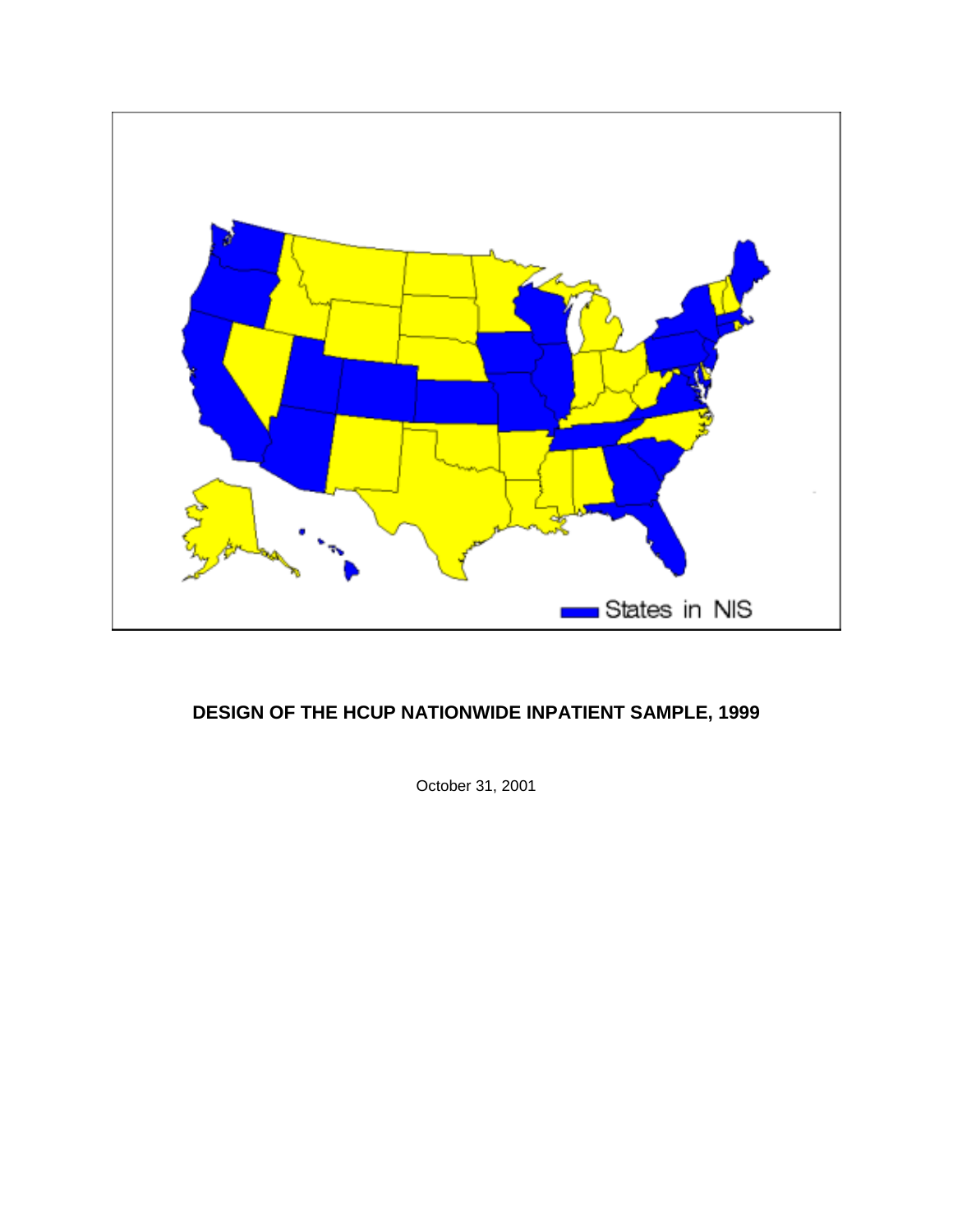

# **DESIGN OF THE HCUP NATIONWIDE INPATIENT SAMPLE, 1999**

October 31, 2001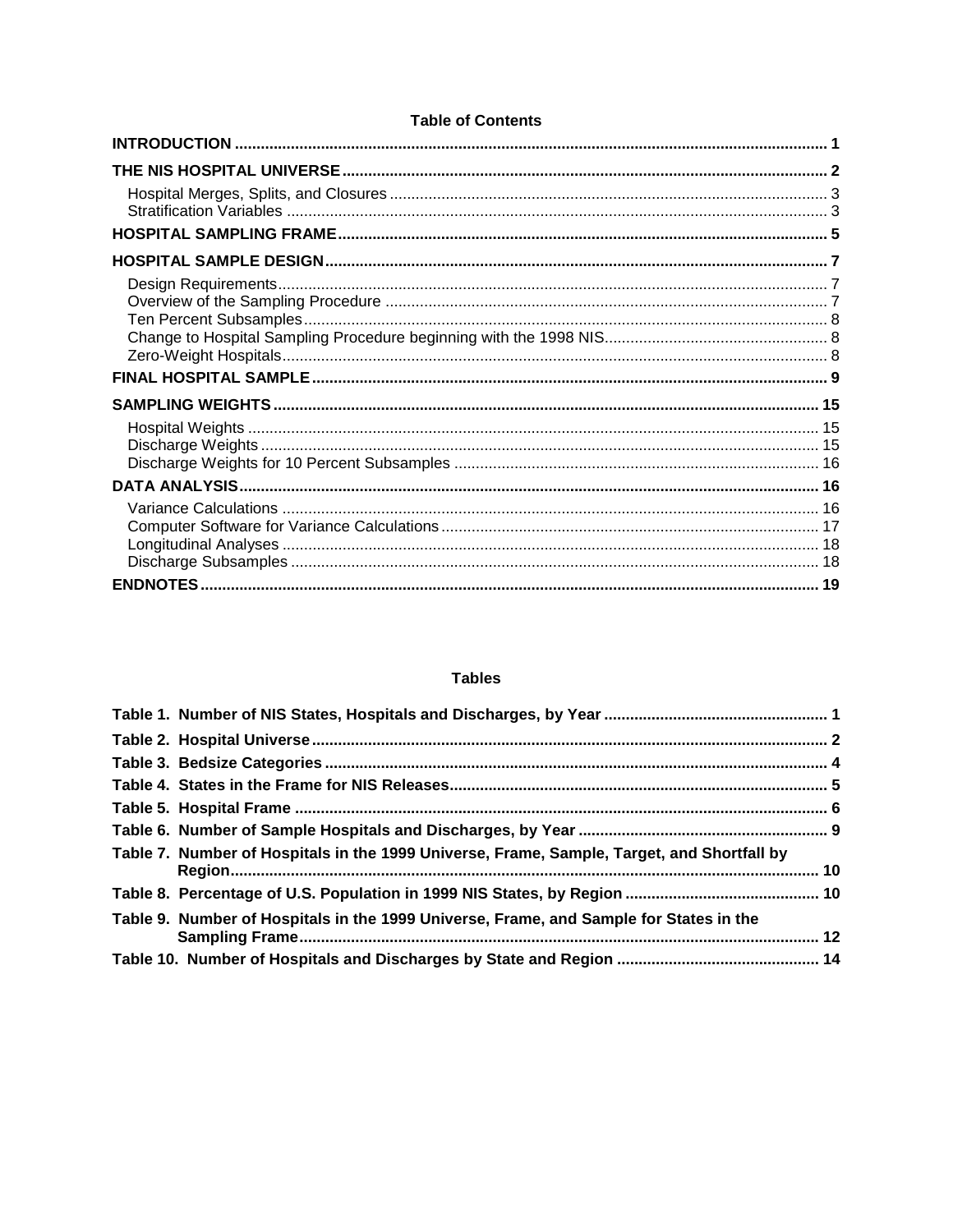## **Tables**

| Table 7. Number of Hospitals in the 1999 Universe, Frame, Sample, Target, and Shortfall by |  |
|--------------------------------------------------------------------------------------------|--|
|                                                                                            |  |
| Table 9. Number of Hospitals in the 1999 Universe, Frame, and Sample for States in the     |  |
|                                                                                            |  |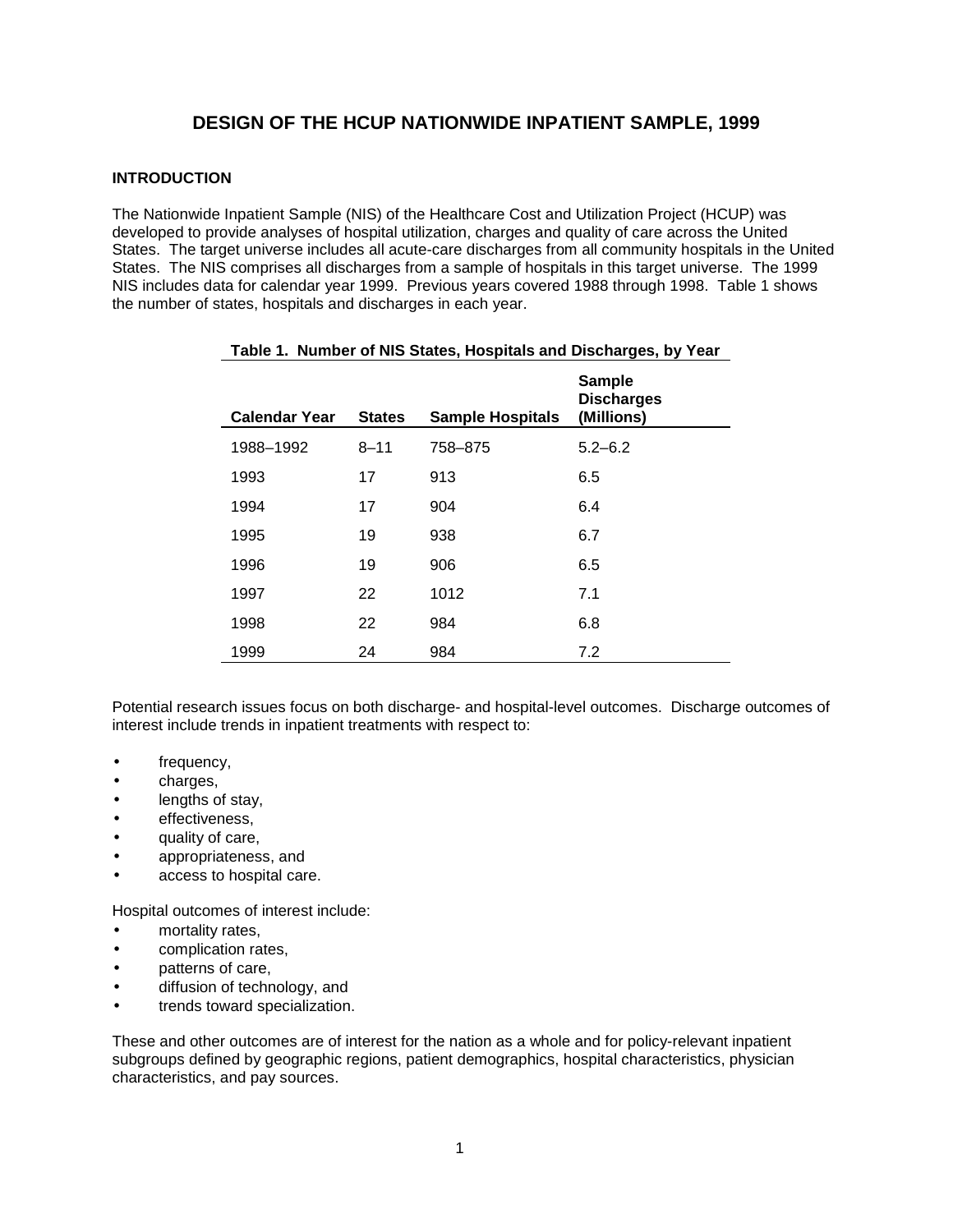# **DESIGN OF THE HCUP NATIONWIDE INPATIENT SAMPLE, 1999**

## **INTRODUCTION**

The Nationwide Inpatient Sample (NIS) of the Healthcare Cost and Utilization Project (HCUP) was developed to provide analyses of hospital utilization, charges and quality of care across the United States. The target universe includes all acute-care discharges from all community hospitals in the United States. The NIS comprises all discharges from a sample of hospitals in this target universe. The 1999 NIS includes data for calendar year 1999. Previous years covered 1988 through 1998. Table 1 shows the number of states, hospitals and discharges in each year.

| <b>Calendar Year</b> | <b>States</b> | <b>Sample Hospitals</b> | <b>Sample</b><br><b>Discharges</b><br>(Millions) |
|----------------------|---------------|-------------------------|--------------------------------------------------|
| 1988-1992            | $8 - 11$      | 758-875                 | $5.2 - 6.2$                                      |
| 1993                 | 17            | 913                     | 6.5                                              |
| 1994                 | 17            | 904                     | 6.4                                              |
| 1995                 | 19            | 938                     | 6.7                                              |
| 1996                 | 19            | 906                     | 6.5                                              |
| 1997                 | 22            | 1012                    | 7.1                                              |
| 1998                 | 22            | 984                     | 6.8                                              |
| 1999                 | 24            | 984                     | 7.2                                              |

## **Table 1. Number of NIS States, Hospitals and Discharges, by Year**

Potential research issues focus on both discharge- and hospital-level outcomes. Discharge outcomes of interest include trends in inpatient treatments with respect to:

- frequency,
- charges,
- lengths of stay,
- effectiveness,
- quality of care,
- appropriateness, and
- access to hospital care.

Hospital outcomes of interest include:

- mortality rates,
- complication rates,
- patterns of care,
- diffusion of technology, and
- trends toward specialization.

These and other outcomes are of interest for the nation as a whole and for policy-relevant inpatient subgroups defined by geographic regions, patient demographics, hospital characteristics, physician characteristics, and pay sources.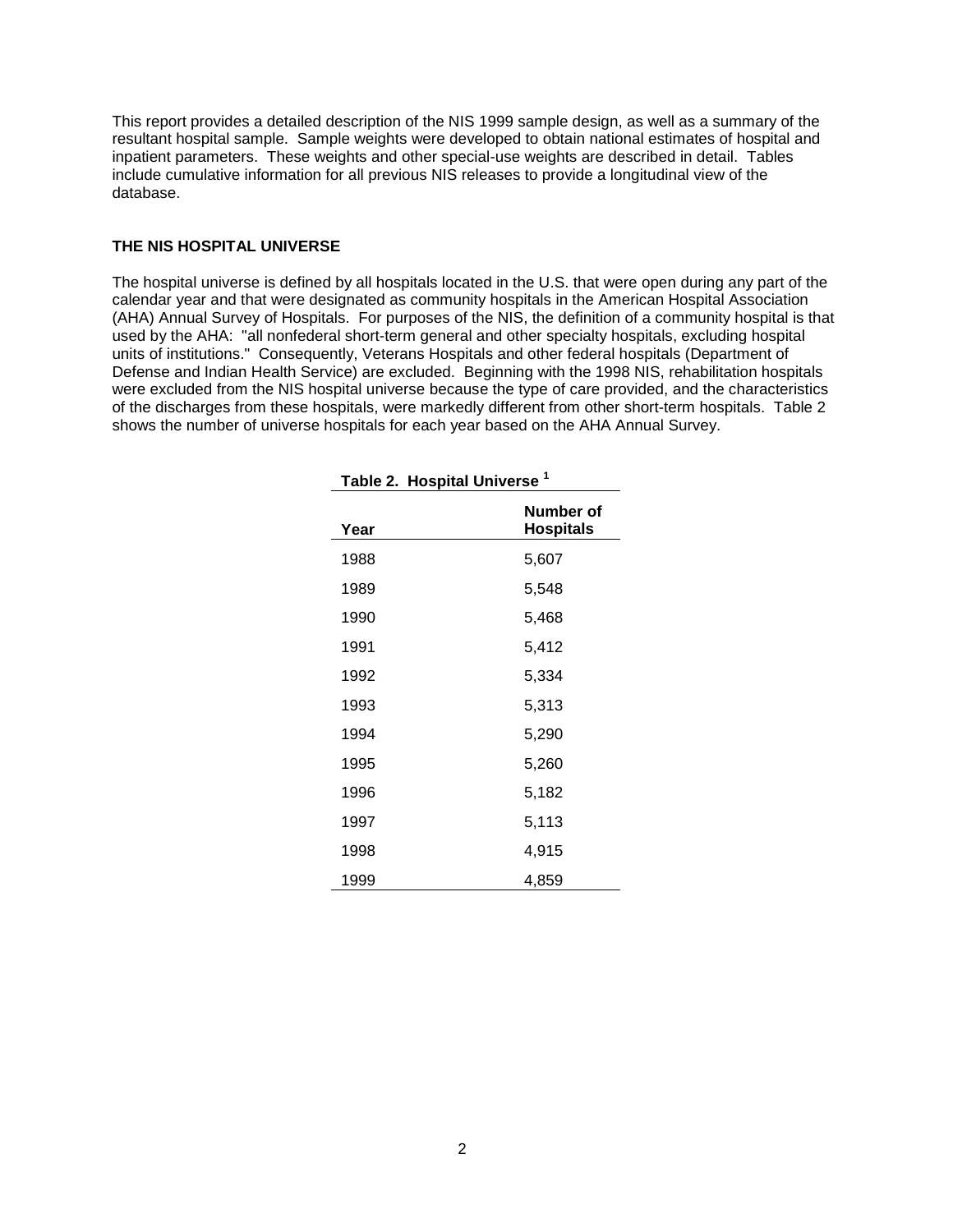This report provides a detailed description of the NIS 1999 sample design, as well as a summary of the resultant hospital sample. Sample weights were developed to obtain national estimates of hospital and inpatient parameters. These weights and other special-use weights are described in detail. Tables include cumulative information for all previous NIS releases to provide a longitudinal view of the database.

#### **THE NIS HOSPITAL UNIVERSE**

The hospital universe is defined by all hospitals located in the U.S. that were open during any part of the calendar year and that were designated as community hospitals in the American Hospital Association (AHA) Annual Survey of Hospitals. For purposes of the NIS, the definition of a community hospital is that used by the AHA: "all nonfederal short-term general and other specialty hospitals, excluding hospital units of institutions." Consequently, Veterans Hospitals and other federal hospitals (Department of Defense and Indian Health Service) are excluded. Beginning with the 1998 NIS, rehabilitation hospitals were excluded from the NIS hospital universe because the type of care provided, and the characteristics of the discharges from these hospitals, were markedly different from other short-term hospitals. Table 2 shows the number of universe hospitals for each year based on the AHA Annual Survey.

| Year | Number of<br><b>Hospitals</b> |
|------|-------------------------------|
| 1988 | 5,607                         |
| 1989 | 5,548                         |
| 1990 | 5,468                         |
| 1991 | 5,412                         |
| 1992 | 5,334                         |
| 1993 | 5,313                         |
| 1994 | 5,290                         |
| 1995 | 5,260                         |
| 1996 | 5,182                         |
| 1997 | 5,113                         |
| 1998 | 4,915                         |
| 1999 | 4,859                         |

**Table 2. Hospital Universe <sup>1</sup>**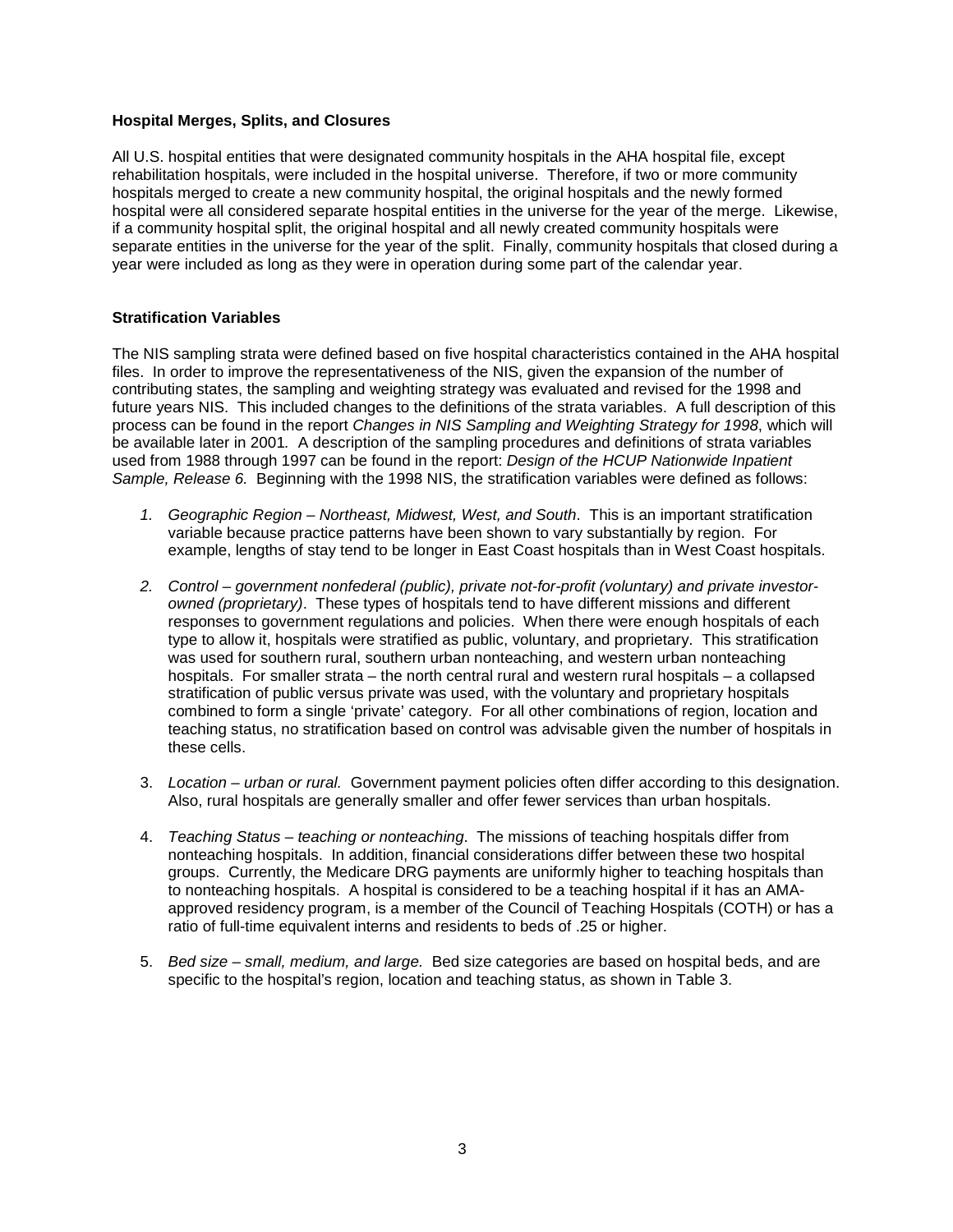## **Hospital Merges, Splits, and Closures**

All U.S. hospital entities that were designated community hospitals in the AHA hospital file, except rehabilitation hospitals, were included in the hospital universe. Therefore, if two or more community hospitals merged to create a new community hospital, the original hospitals and the newly formed hospital were all considered separate hospital entities in the universe for the year of the merge. Likewise, if a community hospital split, the original hospital and all newly created community hospitals were separate entities in the universe for the year of the split. Finally, community hospitals that closed during a year were included as long as they were in operation during some part of the calendar year.

## **Stratification Variables**

The NIS sampling strata were defined based on five hospital characteristics contained in the AHA hospital files. In order to improve the representativeness of the NIS, given the expansion of the number of contributing states, the sampling and weighting strategy was evaluated and revised for the 1998 and future years NIS. This included changes to the definitions of the strata variables. A full description of this process can be found in the report Changes in NIS Sampling and Weighting Strategy for 1998, which will be available later in 2001. A description of the sampling procedures and definitions of strata variables used from 1988 through 1997 can be found in the report: Design of the HCUP Nationwide Inpatient Sample, Release 6. Beginning with the 1998 NIS, the stratification variables were defined as follows:

- 1. Geographic Region Northeast, Midwest, West, and South. This is an important stratification variable because practice patterns have been shown to vary substantially by region. For example, lengths of stay tend to be longer in East Coast hospitals than in West Coast hospitals.
- 2. Control government nonfederal (public), private not-for-profit (voluntary) and private investorowned (proprietary). These types of hospitals tend to have different missions and different responses to government regulations and policies. When there were enough hospitals of each type to allow it, hospitals were stratified as public, voluntary, and proprietary. This stratification was used for southern rural, southern urban nonteaching, and western urban nonteaching hospitals. For smaller strata – the north central rural and western rural hospitals – a collapsed stratification of public versus private was used, with the voluntary and proprietary hospitals combined to form a single 'private' category. For all other combinations of region, location and teaching status, no stratification based on control was advisable given the number of hospitals in these cells.
- 3. Location urban or rural. Government payment policies often differ according to this designation. Also, rural hospitals are generally smaller and offer fewer services than urban hospitals.
- 4. Teaching Status teaching or nonteaching. The missions of teaching hospitals differ from nonteaching hospitals. In addition, financial considerations differ between these two hospital groups. Currently, the Medicare DRG payments are uniformly higher to teaching hospitals than to nonteaching hospitals. A hospital is considered to be a teaching hospital if it has an AMAapproved residency program, is a member of the Council of Teaching Hospitals (COTH) or has a ratio of full-time equivalent interns and residents to beds of .25 or higher.
- 5. Bed size small, medium, and large. Bed size categories are based on hospital beds, and are specific to the hospital's region, location and teaching status, as shown in Table 3.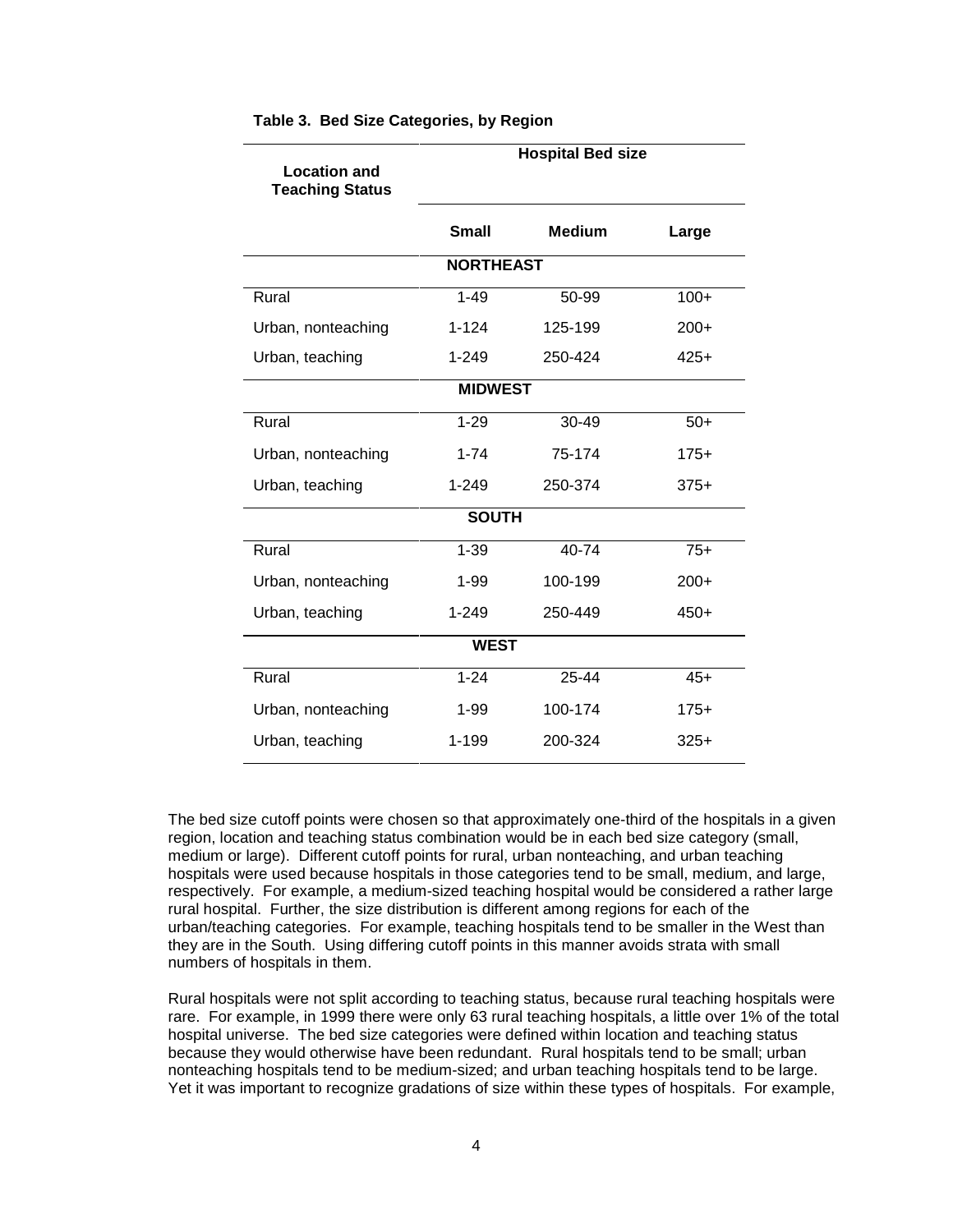| <b>Location and</b>    |                  | <b>Hospital Bed size</b> |        |  |  |  |
|------------------------|------------------|--------------------------|--------|--|--|--|
| <b>Teaching Status</b> |                  |                          |        |  |  |  |
|                        | <b>Small</b>     | <b>Medium</b>            | Large  |  |  |  |
|                        | <b>NORTHEAST</b> |                          |        |  |  |  |
| Rural                  | $1 - 49$         | 50-99                    | $100+$ |  |  |  |
| Urban, nonteaching     | $1 - 124$        | 125-199                  | $200+$ |  |  |  |
| Urban, teaching        | $1 - 249$        | 250-424                  | $425+$ |  |  |  |
|                        | <b>MIDWEST</b>   |                          |        |  |  |  |
| Rural                  | $1 - 29$         | 30-49                    | $50+$  |  |  |  |
| Urban, nonteaching     | $1 - 74$         | 75-174                   | $175+$ |  |  |  |
| Urban, teaching        | $1 - 249$        | 250-374                  | $375+$ |  |  |  |
|                        | <b>SOUTH</b>     |                          |        |  |  |  |
| Rural                  | $1 - 39$         | 40-74                    | $75+$  |  |  |  |
| Urban, nonteaching     | $1 - 99$         | 100-199                  | $200+$ |  |  |  |
| Urban, teaching        | $1 - 249$        | 250-449                  | $450+$ |  |  |  |
|                        | <b>WEST</b>      |                          |        |  |  |  |
| Rural                  | $1 - 24$         | 25-44                    | $45+$  |  |  |  |
| Urban, nonteaching     | $1 - 99$         | 100-174                  | $175+$ |  |  |  |
| Urban, teaching        | 1-199            | 200-324                  | $325+$ |  |  |  |

#### **Table 3. Bed Size Categories, by Region**

The bed size cutoff points were chosen so that approximately one-third of the hospitals in a given region, location and teaching status combination would be in each bed size category (small, medium or large). Different cutoff points for rural, urban nonteaching, and urban teaching hospitals were used because hospitals in those categories tend to be small, medium, and large, respectively. For example, a medium-sized teaching hospital would be considered a rather large rural hospital. Further, the size distribution is different among regions for each of the urban/teaching categories. For example, teaching hospitals tend to be smaller in the West than they are in the South. Using differing cutoff points in this manner avoids strata with small numbers of hospitals in them.

Rural hospitals were not split according to teaching status, because rural teaching hospitals were rare. For example, in 1999 there were only 63 rural teaching hospitals, a little over 1% of the total hospital universe. The bed size categories were defined within location and teaching status because they would otherwise have been redundant. Rural hospitals tend to be small; urban nonteaching hospitals tend to be medium-sized; and urban teaching hospitals tend to be large. Yet it was important to recognize gradations of size within these types of hospitals. For example,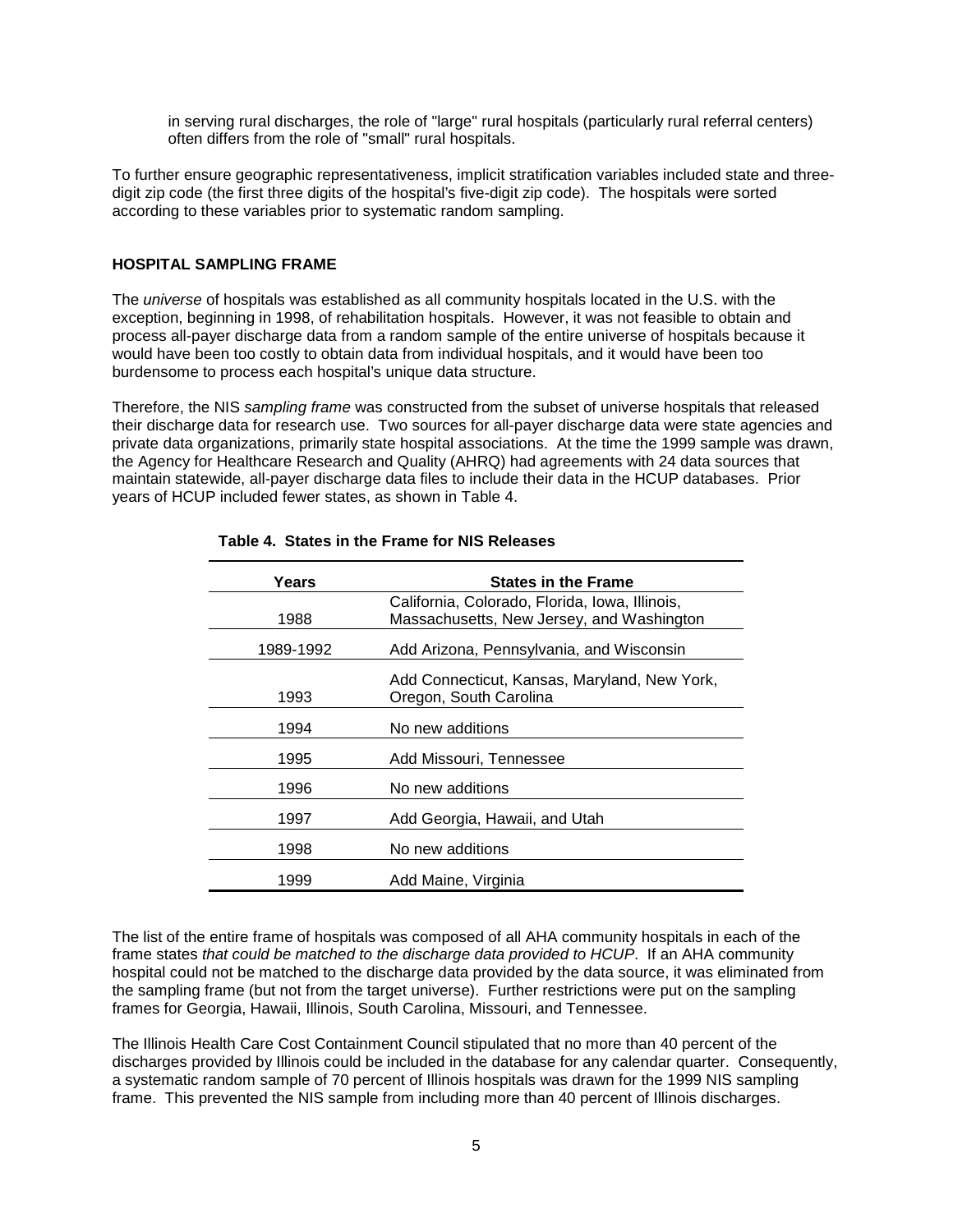in serving rural discharges, the role of "large" rural hospitals (particularly rural referral centers) often differs from the role of "small" rural hospitals.

To further ensure geographic representativeness, implicit stratification variables included state and threedigit zip code (the first three digits of the hospital's five-digit zip code). The hospitals were sorted according to these variables prior to systematic random sampling.

#### **HOSPITAL SAMPLING FRAME**

The *universe* of hospitals was established as all community hospitals located in the U.S. with the exception, beginning in 1998, of rehabilitation hospitals. However, it was not feasible to obtain and process all-payer discharge data from a random sample of the entire universe of hospitals because it would have been too costly to obtain data from individual hospitals, and it would have been too burdensome to process each hospital's unique data structure.

Therefore, the NIS sampling frame was constructed from the subset of universe hospitals that released their discharge data for research use. Two sources for all-payer discharge data were state agencies and private data organizations, primarily state hospital associations. At the time the 1999 sample was drawn, the Agency for Healthcare Research and Quality (AHRQ) had agreements with 24 data sources that maintain statewide, all-payer discharge data files to include their data in the HCUP databases. Prior years of HCUP included fewer states, as shown in Table 4.

| Years     | <b>States in the Frame</b>                                                                  |
|-----------|---------------------------------------------------------------------------------------------|
| 1988      | California, Colorado, Florida, Iowa, Illinois,<br>Massachusetts, New Jersey, and Washington |
| 1989-1992 | Add Arizona, Pennsylvania, and Wisconsin                                                    |
| 1993      | Add Connecticut, Kansas, Maryland, New York,<br>Oregon, South Carolina                      |
| 1994      | No new additions                                                                            |
| 1995      | Add Missouri, Tennessee                                                                     |
| 1996      | No new additions                                                                            |
| 1997      | Add Georgia, Hawaii, and Utah                                                               |
| 1998      | No new additions                                                                            |
| 1999      | Add Maine, Virginia                                                                         |

#### **Table 4. States in the Frame for NIS Releases**

The list of the entire frame of hospitals was composed of all AHA community hospitals in each of the frame states that could be matched to the discharge data provided to HCUP. If an AHA community hospital could not be matched to the discharge data provided by the data source, it was eliminated from the sampling frame (but not from the target universe). Further restrictions were put on the sampling frames for Georgia, Hawaii, Illinois, South Carolina, Missouri, and Tennessee.

The Illinois Health Care Cost Containment Council stipulated that no more than 40 percent of the discharges provided by Illinois could be included in the database for any calendar quarter. Consequently, a systematic random sample of 70 percent of Illinois hospitals was drawn for the 1999 NIS sampling frame. This prevented the NIS sample from including more than 40 percent of Illinois discharges.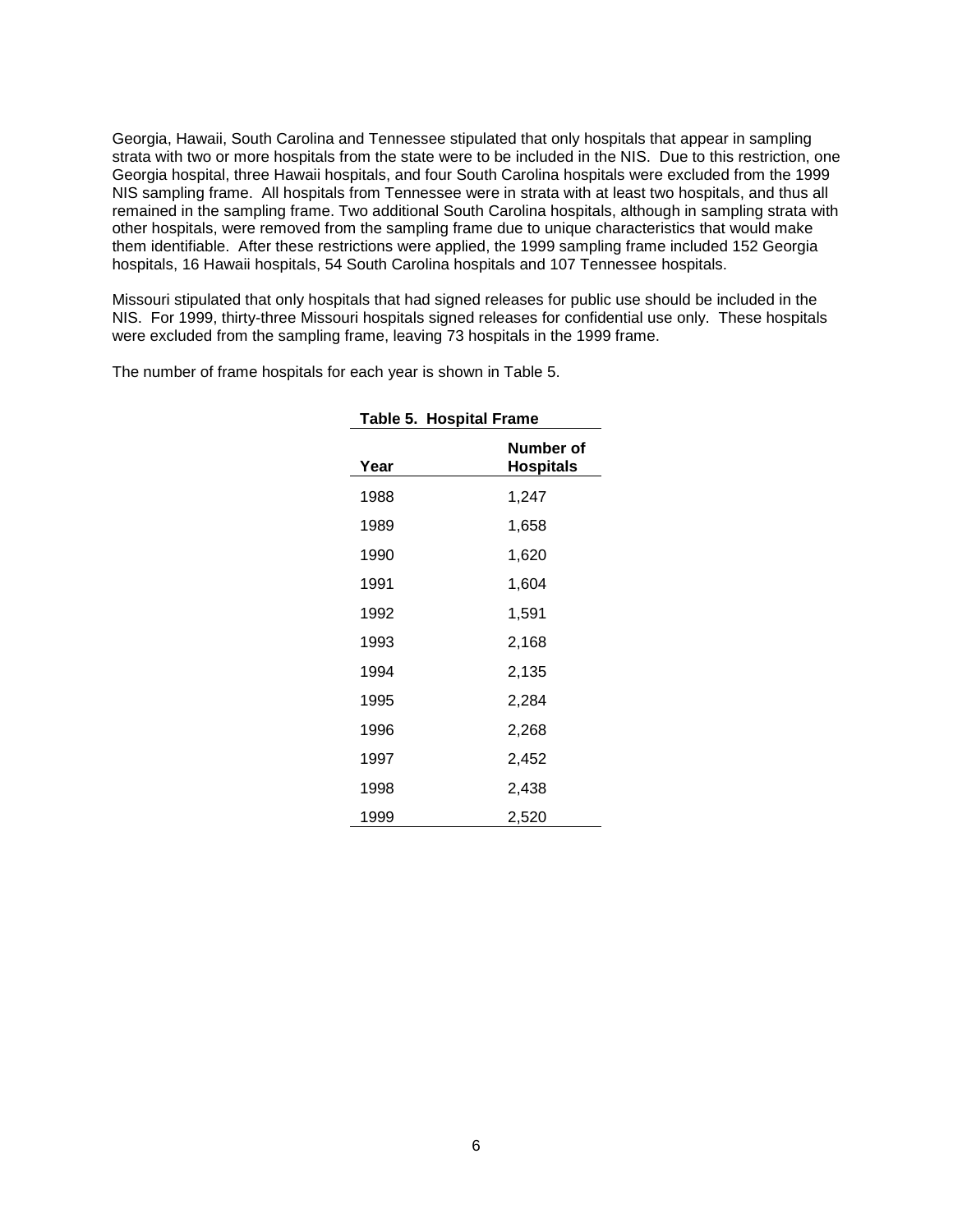Georgia, Hawaii, South Carolina and Tennessee stipulated that only hospitals that appear in sampling strata with two or more hospitals from the state were to be included in the NIS. Due to this restriction, one Georgia hospital, three Hawaii hospitals, and four South Carolina hospitals were excluded from the 1999 NIS sampling frame. All hospitals from Tennessee were in strata with at least two hospitals, and thus all remained in the sampling frame. Two additional South Carolina hospitals, although in sampling strata with other hospitals, were removed from the sampling frame due to unique characteristics that would make them identifiable. After these restrictions were applied, the 1999 sampling frame included 152 Georgia hospitals, 16 Hawaii hospitals, 54 South Carolina hospitals and 107 Tennessee hospitals.

Missouri stipulated that only hospitals that had signed releases for public use should be included in the NIS. For 1999, thirty-three Missouri hospitals signed releases for confidential use only. These hospitals were excluded from the sampling frame, leaving 73 hospitals in the 1999 frame.

The number of frame hospitals for each year is shown in Table 5.

| Table 5. Hospital Frame        |       |  |  |  |  |
|--------------------------------|-------|--|--|--|--|
| Number of<br>Hospitals<br>Year |       |  |  |  |  |
| 1988                           | 1,247 |  |  |  |  |
| 1989                           | 1,658 |  |  |  |  |
| 1990                           | 1,620 |  |  |  |  |
| 1991                           | 1,604 |  |  |  |  |
| 1992                           | 1,591 |  |  |  |  |
| 1993                           | 2,168 |  |  |  |  |
| 1994                           | 2,135 |  |  |  |  |
| 1995                           | 2,284 |  |  |  |  |
| 1996                           | 2,268 |  |  |  |  |
| 1997                           | 2,452 |  |  |  |  |
| 1998                           | 2,438 |  |  |  |  |
| 1999                           | 2,520 |  |  |  |  |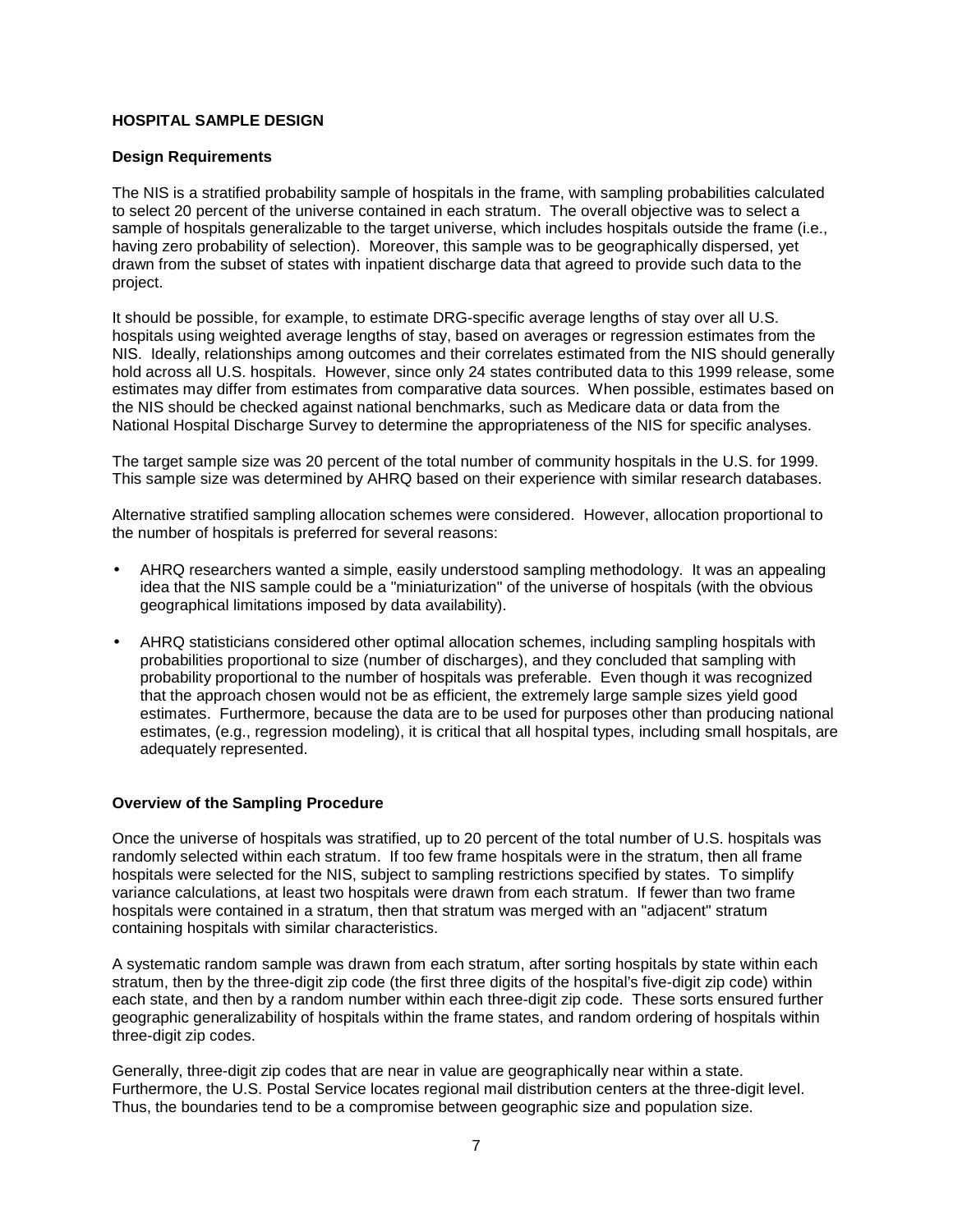## **HOSPITAL SAMPLE DESIGN**

#### **Design Requirements**

The NIS is a stratified probability sample of hospitals in the frame, with sampling probabilities calculated to select 20 percent of the universe contained in each stratum. The overall objective was to select a sample of hospitals generalizable to the target universe, which includes hospitals outside the frame (i.e., having zero probability of selection). Moreover, this sample was to be geographically dispersed, yet drawn from the subset of states with inpatient discharge data that agreed to provide such data to the project.

It should be possible, for example, to estimate DRG-specific average lengths of stay over all U.S. hospitals using weighted average lengths of stay, based on averages or regression estimates from the NIS. Ideally, relationships among outcomes and their correlates estimated from the NIS should generally hold across all U.S. hospitals. However, since only 24 states contributed data to this 1999 release, some estimates may differ from estimates from comparative data sources. When possible, estimates based on the NIS should be checked against national benchmarks, such as Medicare data or data from the National Hospital Discharge Survey to determine the appropriateness of the NIS for specific analyses.

The target sample size was 20 percent of the total number of community hospitals in the U.S. for 1999. This sample size was determined by AHRQ based on their experience with similar research databases.

Alternative stratified sampling allocation schemes were considered. However, allocation proportional to the number of hospitals is preferred for several reasons:

- AHRQ researchers wanted a simple, easily understood sampling methodology. It was an appealing idea that the NIS sample could be a "miniaturization" of the universe of hospitals (with the obvious geographical limitations imposed by data availability).
- AHRQ statisticians considered other optimal allocation schemes, including sampling hospitals with probabilities proportional to size (number of discharges), and they concluded that sampling with probability proportional to the number of hospitals was preferable. Even though it was recognized that the approach chosen would not be as efficient, the extremely large sample sizes yield good estimates. Furthermore, because the data are to be used for purposes other than producing national estimates, (e.g., regression modeling), it is critical that all hospital types, including small hospitals, are adequately represented.

## **Overview of the Sampling Procedure**

Once the universe of hospitals was stratified, up to 20 percent of the total number of U.S. hospitals was randomly selected within each stratum. If too few frame hospitals were in the stratum, then all frame hospitals were selected for the NIS, subject to sampling restrictions specified by states. To simplify variance calculations, at least two hospitals were drawn from each stratum. If fewer than two frame hospitals were contained in a stratum, then that stratum was merged with an "adjacent" stratum containing hospitals with similar characteristics.

A systematic random sample was drawn from each stratum, after sorting hospitals by state within each stratum, then by the three-digit zip code (the first three digits of the hospital's five-digit zip code) within each state, and then by a random number within each three-digit zip code. These sorts ensured further geographic generalizability of hospitals within the frame states, and random ordering of hospitals within three-digit zip codes.

Generally, three-digit zip codes that are near in value are geographically near within a state. Furthermore, the U.S. Postal Service locates regional mail distribution centers at the three-digit level. Thus, the boundaries tend to be a compromise between geographic size and population size.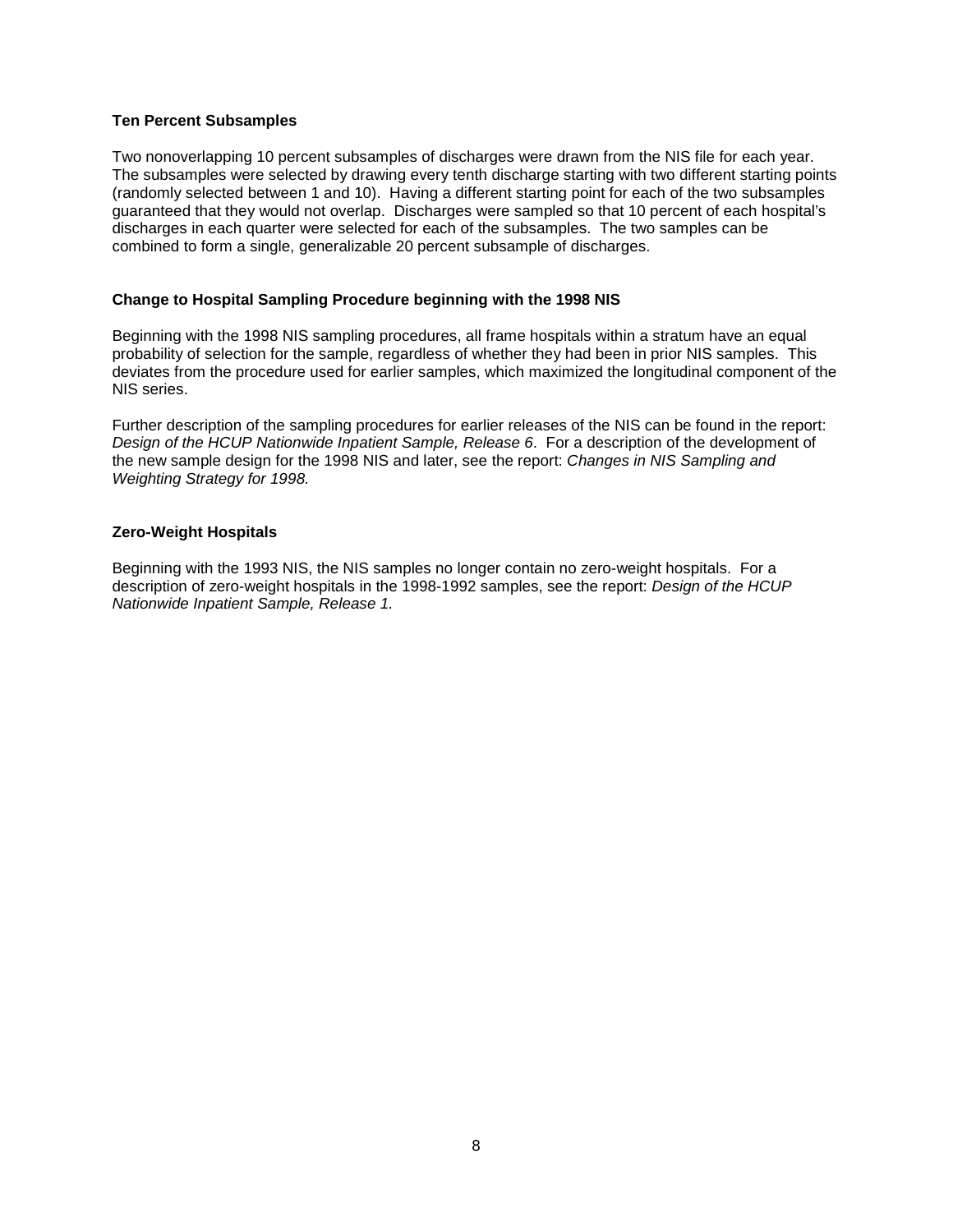## **Ten Percent Subsamples**

Two nonoverlapping 10 percent subsamples of discharges were drawn from the NIS file for each year. The subsamples were selected by drawing every tenth discharge starting with two different starting points (randomly selected between 1 and 10). Having a different starting point for each of the two subsamples guaranteed that they would not overlap. Discharges were sampled so that 10 percent of each hospital's discharges in each quarter were selected for each of the subsamples. The two samples can be combined to form a single, generalizable 20 percent subsample of discharges.

## **Change to Hospital Sampling Procedure beginning with the 1998 NIS**

Beginning with the 1998 NIS sampling procedures, all frame hospitals within a stratum have an equal probability of selection for the sample, regardless of whether they had been in prior NIS samples. This deviates from the procedure used for earlier samples, which maximized the longitudinal component of the NIS series.

Further description of the sampling procedures for earlier releases of the NIS can be found in the report: Design of the HCUP Nationwide Inpatient Sample, Release 6. For a description of the development of the new sample design for the 1998 NIS and later, see the report: Changes in NIS Sampling and Weighting Strategy for 1998.

## **Zero-Weight Hospitals**

Beginning with the 1993 NIS, the NIS samples no longer contain no zero-weight hospitals. For a description of zero-weight hospitals in the 1998-1992 samples, see the report: Design of the HCUP Nationwide Inpatient Sample, Release 1.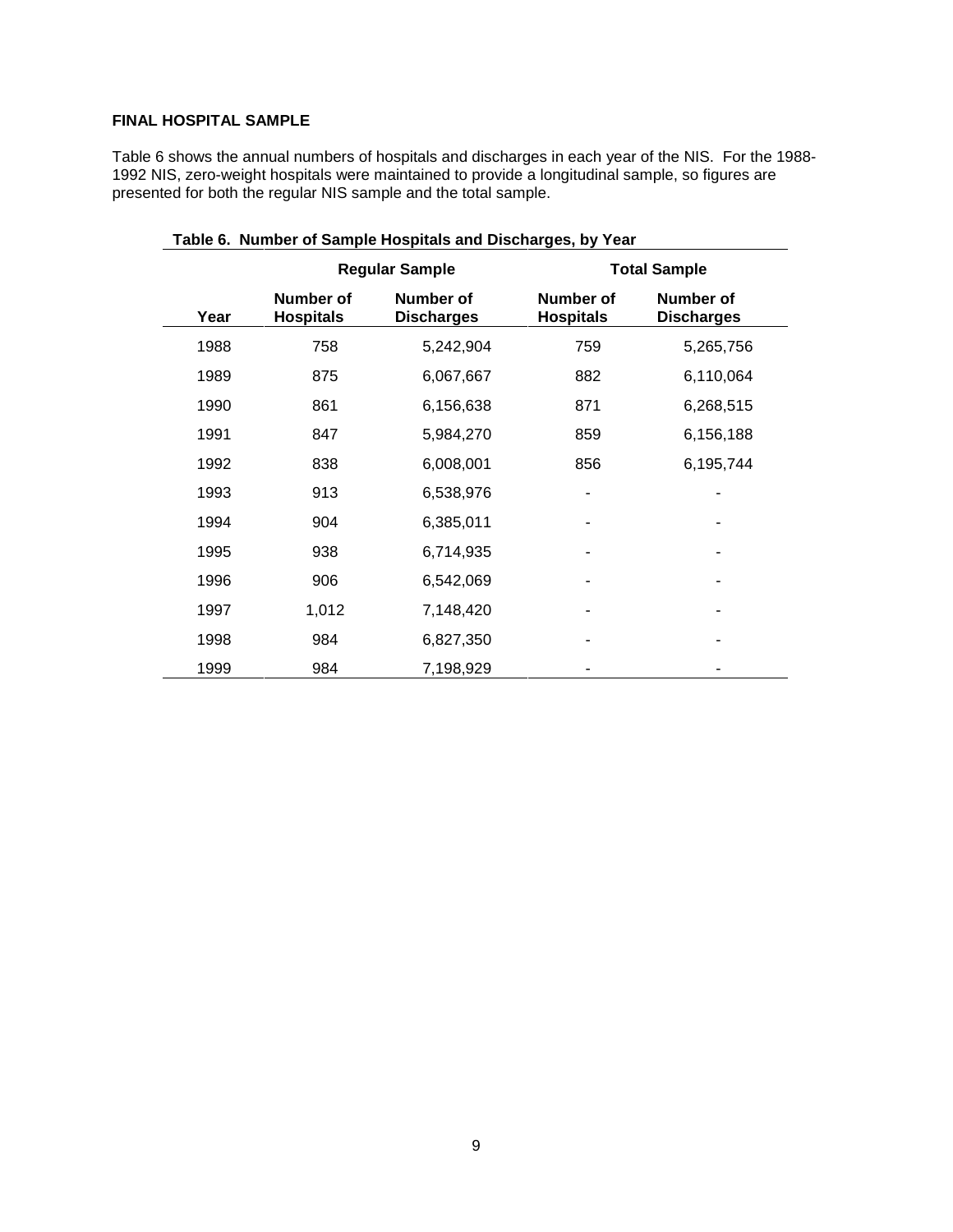## **FINAL HOSPITAL SAMPLE**

Table 6 shows the annual numbers of hospitals and discharges in each year of the NIS. For the 1988- 1992 NIS, zero-weight hospitals were maintained to provide a longitudinal sample, so figures are presented for both the regular NIS sample and the total sample.

| <b>Regular Sample</b> |                                      |                                |                                      | <b>Total Sample</b>                   |
|-----------------------|--------------------------------------|--------------------------------|--------------------------------------|---------------------------------------|
| Year                  | <b>Number of</b><br><b>Hospitals</b> | Number of<br><b>Discharges</b> | <b>Number of</b><br><b>Hospitals</b> | <b>Number of</b><br><b>Discharges</b> |
| 1988                  | 758                                  | 5,242,904                      | 759                                  | 5,265,756                             |
| 1989                  | 875                                  | 6,067,667                      | 882                                  | 6,110,064                             |
| 1990                  | 861                                  | 6,156,638                      | 871                                  | 6,268,515                             |
| 1991                  | 847                                  | 5,984,270                      | 859                                  | 6,156,188                             |
| 1992                  | 838                                  | 6,008,001                      | 856                                  | 6,195,744                             |
| 1993                  | 913                                  | 6,538,976                      | ۰                                    |                                       |
| 1994                  | 904                                  | 6,385,011                      |                                      |                                       |
| 1995                  | 938                                  | 6,714,935                      |                                      |                                       |
| 1996                  | 906                                  | 6,542,069                      |                                      |                                       |
| 1997                  | 1,012                                | 7,148,420                      |                                      |                                       |
| 1998                  | 984                                  | 6,827,350                      |                                      |                                       |
| 1999                  | 984                                  | 7,198,929                      |                                      |                                       |

#### **Table 6. Number of Sample Hospitals and Discharges, by Year**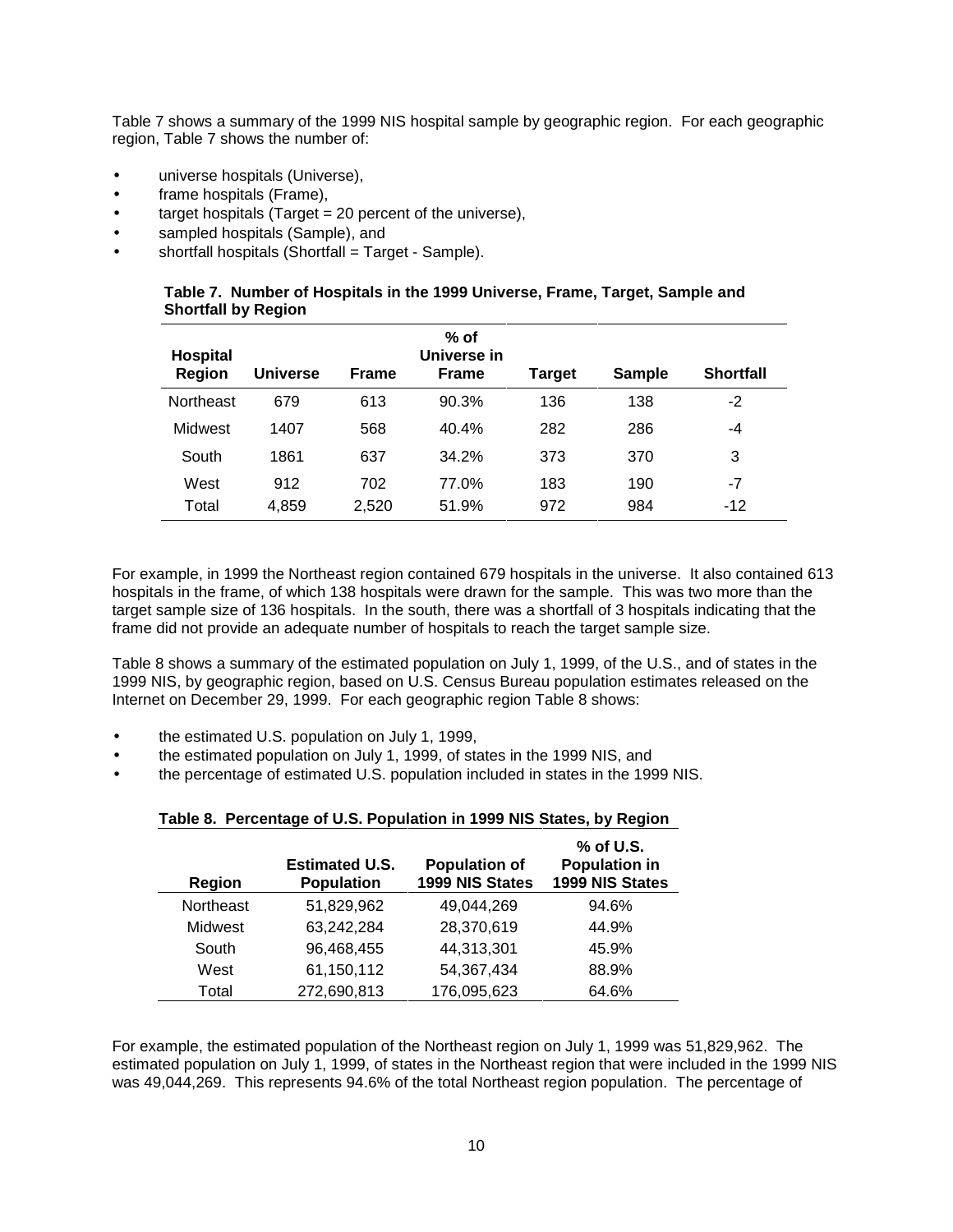Table 7 shows a summary of the 1999 NIS hospital sample by geographic region. For each geographic region, Table 7 shows the number of:

- universe hospitals (Universe),
- frame hospitals (Frame),
- target hospitals (Target  $= 20$  percent of the universe),
- sampled hospitals (Sample), and
- shortfall hospitals (Shortfall = Target Sample).

|                            |  | Table 7. Number of Hospitals in the 1999 Universe, Frame, Target, Sample and |  |  |
|----------------------------|--|------------------------------------------------------------------------------|--|--|
| <b>Shortfall by Region</b> |  |                                                                              |  |  |

| Hospital<br><b>Region</b> | <b>Universe</b> | <b>Frame</b> | % of<br>Universe in<br><b>Frame</b> | Target | <b>Sample</b> | <b>Shortfall</b> |
|---------------------------|-----------------|--------------|-------------------------------------|--------|---------------|------------------|
| <b>Northeast</b>          | 679             | 613          | 90.3%                               | 136    | 138           | -2               |
| Midwest                   | 1407            | 568          | 40.4%                               | 282    | 286           | -4               |
| South                     | 1861            | 637          | 34.2%                               | 373    | 370           | 3                |
| West                      | 912             | 702          | 77.0%                               | 183    | 190           | $-7$             |
| Total                     | 4,859           | 2,520        | 51.9%                               | 972    | 984           | $-12$            |

For example, in 1999 the Northeast region contained 679 hospitals in the universe. It also contained 613 hospitals in the frame, of which 138 hospitals were drawn for the sample. This was two more than the target sample size of 136 hospitals. In the south, there was a shortfall of 3 hospitals indicating that the frame did not provide an adequate number of hospitals to reach the target sample size.

Table 8 shows a summary of the estimated population on July 1, 1999, of the U.S., and of states in the 1999 NIS, by geographic region, based on U.S. Census Bureau population estimates released on the Internet on December 29, 1999. For each geographic region Table 8 shows:

- the estimated U.S. population on July 1, 1999,
- the estimated population on July 1, 1999, of states in the 1999 NIS, and
- the percentage of estimated U.S. population included in states in the 1999 NIS.

**Table 8. Percentage of U.S. Population in 1999 NIS States, by Region** 

| Region    | <b>Estimated U.S.</b><br><b>Population</b> | <b>Population of</b><br>1999 NIS States | % of U.S.<br><b>Population in</b><br>1999 NIS States |
|-----------|--------------------------------------------|-----------------------------------------|------------------------------------------------------|
| Northeast | 51,829,962                                 | 49,044,269                              | 94.6%                                                |
| Midwest   | 63,242,284                                 | 28,370,619                              | 44.9%                                                |
| South     | 96,468,455                                 | 44,313,301                              | 45.9%                                                |
| West      | 61,150,112                                 | 54,367,434                              | 88.9%                                                |
| Total     | 272,690,813                                | 176,095,623                             | 64.6%                                                |

For example, the estimated population of the Northeast region on July 1, 1999 was 51,829,962. The estimated population on July 1, 1999, of states in the Northeast region that were included in the 1999 NIS was 49,044,269. This represents 94.6% of the total Northeast region population. The percentage of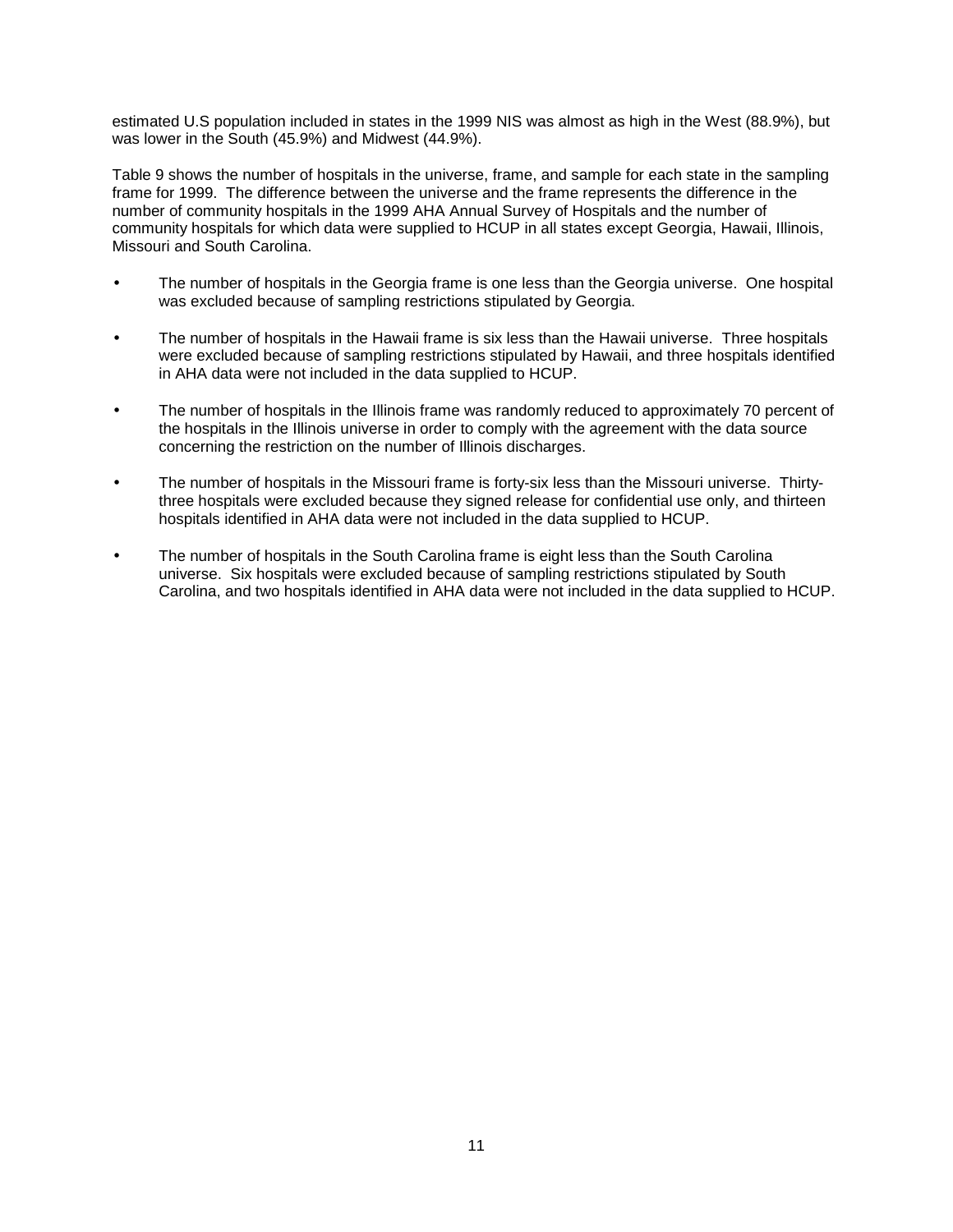estimated U.S population included in states in the 1999 NIS was almost as high in the West (88.9%), but was lower in the South (45.9%) and Midwest (44.9%).

Table 9 shows the number of hospitals in the universe, frame, and sample for each state in the sampling frame for 1999. The difference between the universe and the frame represents the difference in the number of community hospitals in the 1999 AHA Annual Survey of Hospitals and the number of community hospitals for which data were supplied to HCUP in all states except Georgia, Hawaii, Illinois, Missouri and South Carolina.

- The number of hospitals in the Georgia frame is one less than the Georgia universe. One hospital was excluded because of sampling restrictions stipulated by Georgia.
- The number of hospitals in the Hawaii frame is six less than the Hawaii universe. Three hospitals were excluded because of sampling restrictions stipulated by Hawaii, and three hospitals identified in AHA data were not included in the data supplied to HCUP.
- The number of hospitals in the Illinois frame was randomly reduced to approximately 70 percent of the hospitals in the Illinois universe in order to comply with the agreement with the data source concerning the restriction on the number of Illinois discharges.
- The number of hospitals in the Missouri frame is forty-six less than the Missouri universe. Thirtythree hospitals were excluded because they signed release for confidential use only, and thirteen hospitals identified in AHA data were not included in the data supplied to HCUP.
- The number of hospitals in the South Carolina frame is eight less than the South Carolina universe. Six hospitals were excluded because of sampling restrictions stipulated by South Carolina, and two hospitals identified in AHA data were not included in the data supplied to HCUP.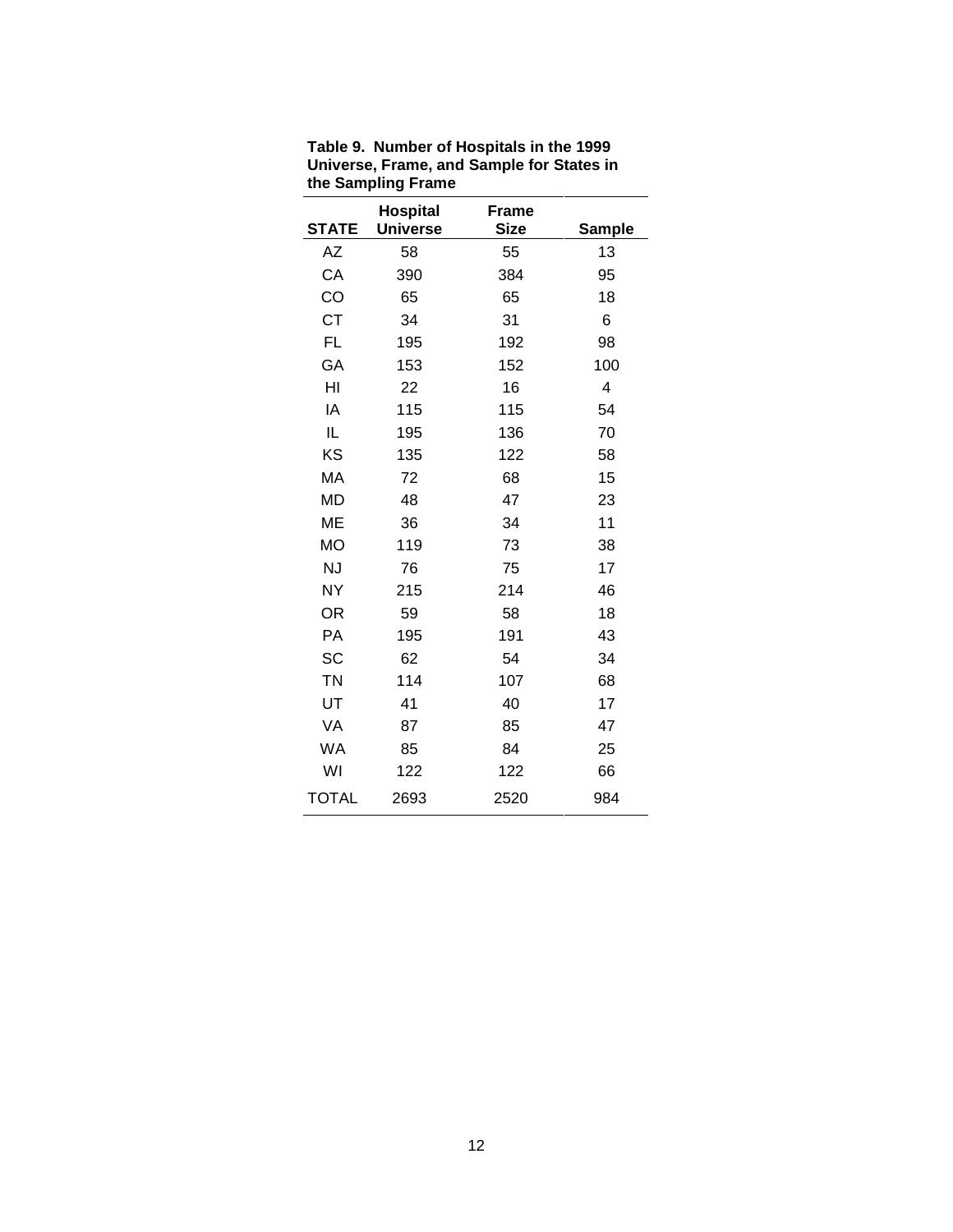| <b>STATE</b> | <b>Hospital</b><br><b>Universe</b> | <b>Frame</b><br><b>Size</b> | <b>Sample</b> |
|--------------|------------------------------------|-----------------------------|---------------|
| AΖ           | 58                                 | 55                          | 13            |
| CA           | 390                                | 384                         | 95            |
| CO           | 65                                 | 65                          | 18            |
| <b>CT</b>    | 34                                 | 31                          | 6             |
| <b>FL</b>    | 195                                | 192                         | 98            |
| GA           | 153                                | 152                         | 100           |
| HI           | 22                                 | 16                          | 4             |
| IA           | 115                                | 115                         | 54            |
| IL           | 195                                | 136                         | 70            |
| KS           | 135                                | 122                         | 58            |
| MA           | 72                                 | 68                          | 15            |
| <b>MD</b>    | 48                                 | 47                          | 23            |
| <b>ME</b>    | 36                                 | 34                          | 11            |
| <b>MO</b>    | 119                                | 73                          | 38            |
| <b>NJ</b>    | 76                                 | 75                          | 17            |
| NY           | 215                                | 214                         | 46            |
| OR           | 59                                 | 58                          | 18            |
| PA           | 195                                | 191                         | 43            |
| SC           | 62                                 | 54                          | 34            |
| <b>TN</b>    | 114                                | 107                         | 68            |
| UT           | 41                                 | 40                          | 17            |
| VA           | 87                                 | 85                          | 47            |
| WA           | 85                                 | 84                          | 25            |
| WI           | 122                                | 122                         | 66            |
| <b>TOTAL</b> | 2693                               | 2520                        | 984           |

**Table 9. Number of Hospitals in the 1999 Universe, Frame, and Sample for States in the Sampling Frame**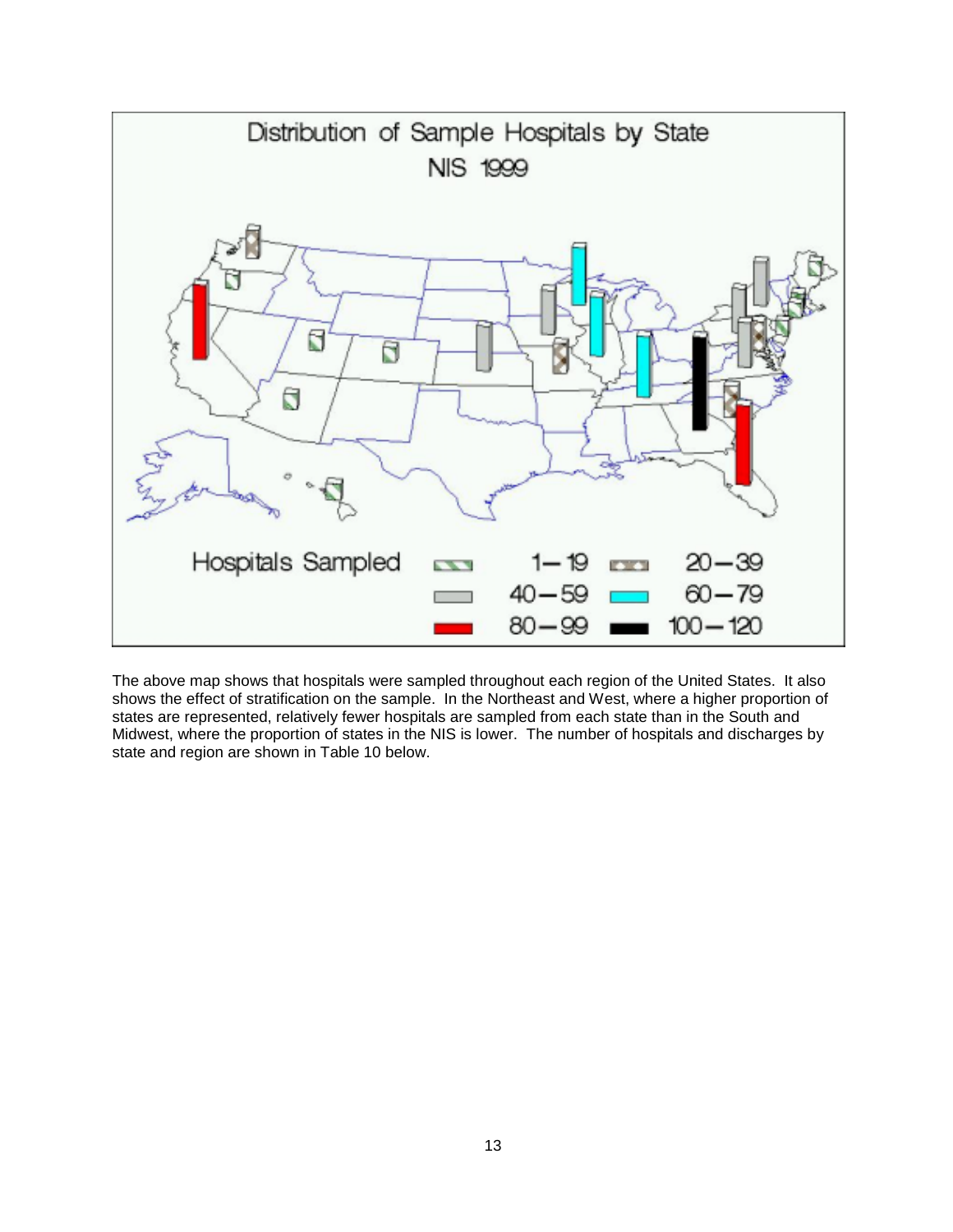

The above map shows that hospitals were sampled throughout each region of the United States. It also shows the effect of stratification on the sample. In the Northeast and West, where a higher proportion of states are represented, relatively fewer hospitals are sampled from each state than in the South and Midwest, where the proportion of states in the NIS is lower. The number of hospitals and discharges by state and region are shown in Table 10 below.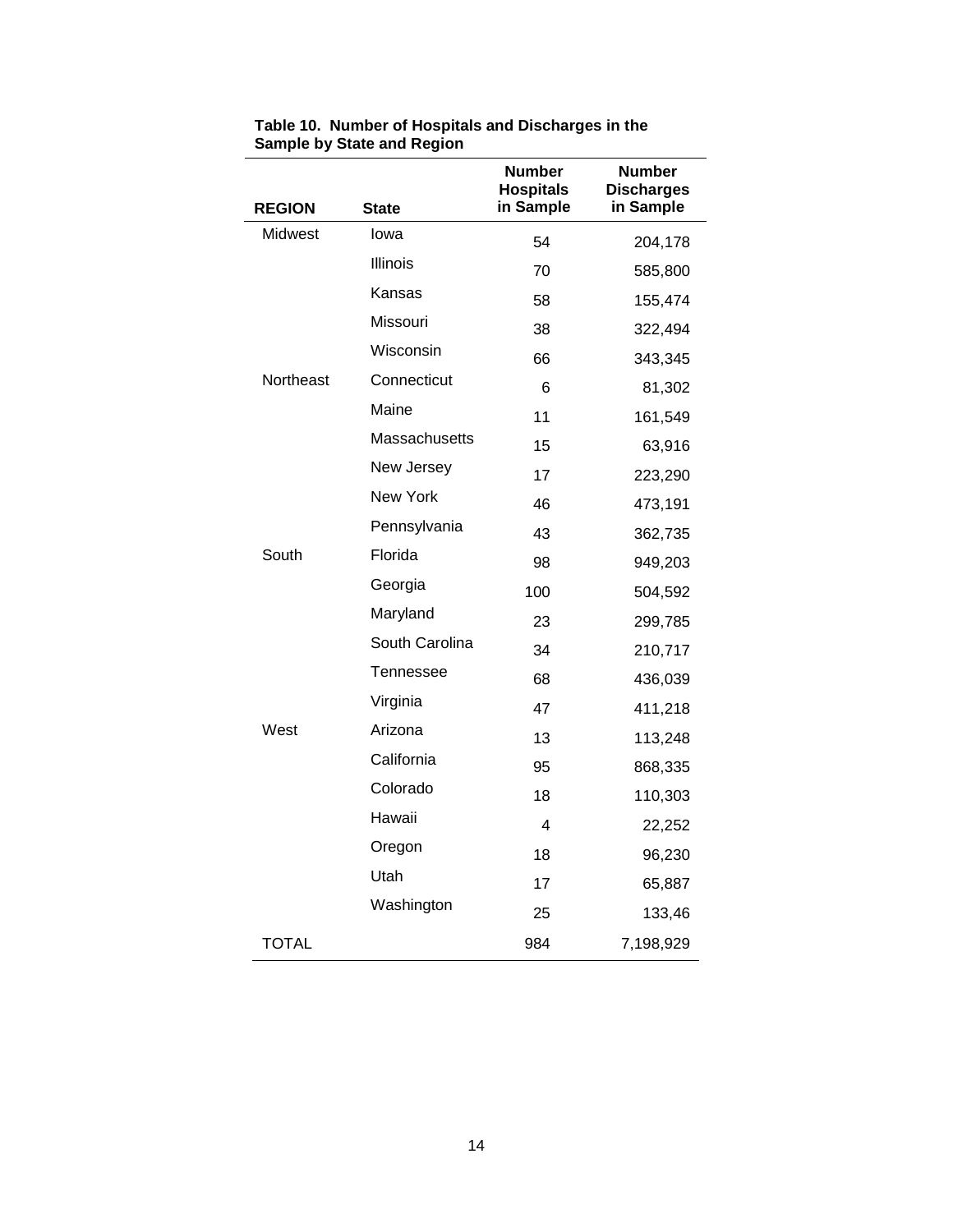|               |                 | <b>Number</b><br><b>Hospitals</b> | <b>Number</b><br><b>Discharges</b> |
|---------------|-----------------|-----------------------------------|------------------------------------|
| <b>REGION</b> | <b>State</b>    | in Sample                         | in Sample                          |
| Midwest       | lowa            | 54                                | 204,178                            |
|               | <b>Illinois</b> | 70                                | 585,800                            |
|               | Kansas          | 58                                | 155,474                            |
|               | Missouri        | 38                                | 322,494                            |
|               | Wisconsin       | 66                                | 343,345                            |
| Northeast     | Connecticut     | 6                                 | 81,302                             |
|               | Maine           | 11                                | 161,549                            |
|               | Massachusetts   | 15                                | 63,916                             |
|               | New Jersey      | 17                                | 223,290                            |
|               | New York        | 46                                | 473,191                            |
|               | Pennsylvania    | 43                                | 362,735                            |
| South         | Florida         | 98                                | 949,203                            |
|               | Georgia         | 100                               | 504,592                            |
|               | Maryland        | 23                                | 299,785                            |
|               | South Carolina  | 34                                | 210,717                            |
|               | Tennessee       | 68                                | 436,039                            |
|               | Virginia        | 47                                | 411,218                            |
| West          | Arizona         | 13                                | 113,248                            |
|               | California      | 95                                | 868,335                            |
|               | Colorado        | 18                                | 110,303                            |
|               | Hawaii          | 4                                 | 22,252                             |
|               | Oregon          | 18                                | 96,230                             |
|               | Utah            | 17                                | 65,887                             |
|               | Washington      | 25                                | 133,46                             |
| <b>TOTAL</b>  |                 | 984                               | 7,198,929                          |

**Table 10. Number of Hospitals and Discharges in the Sample by State and Region**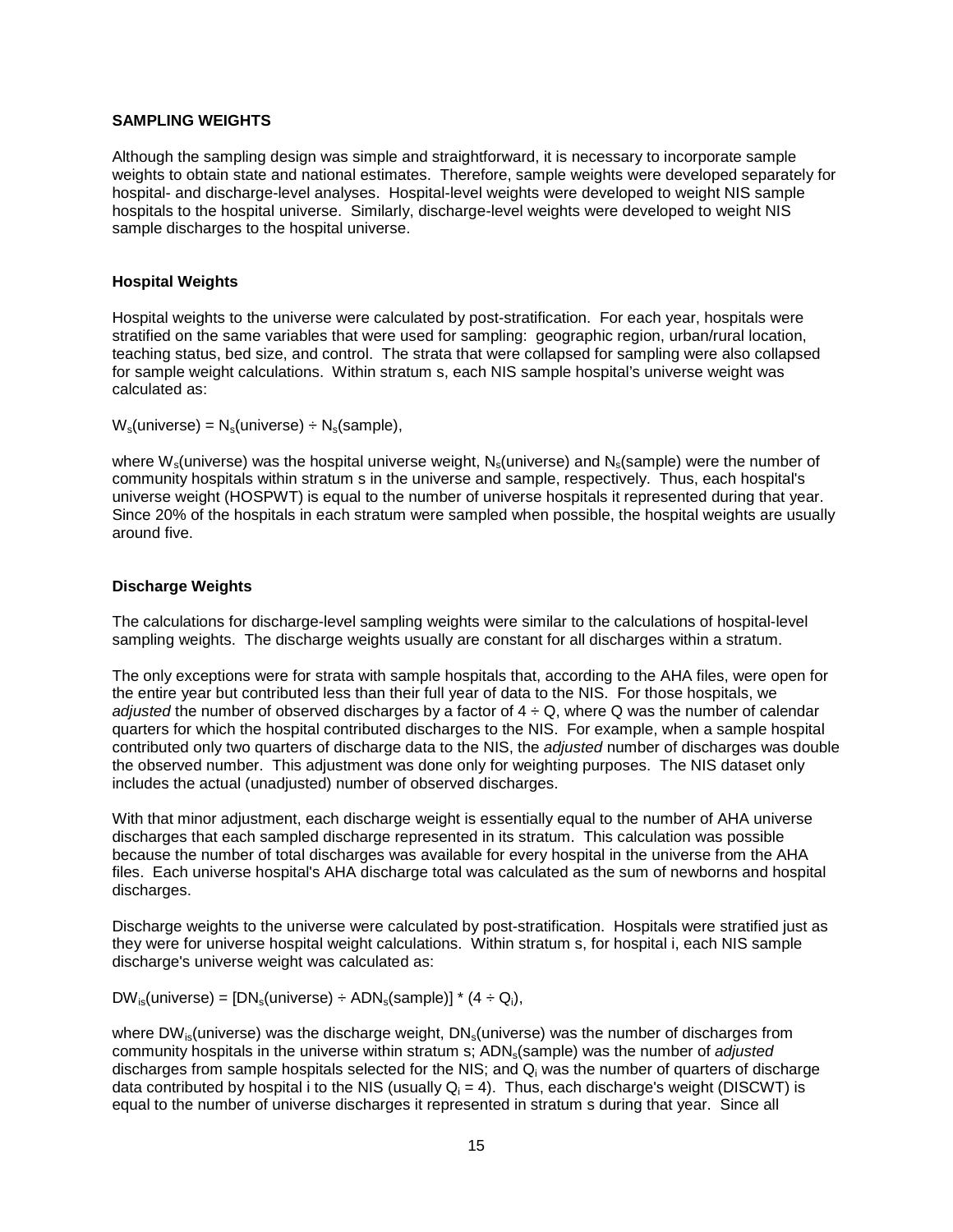#### **SAMPLING WEIGHTS**

Although the sampling design was simple and straightforward, it is necessary to incorporate sample weights to obtain state and national estimates. Therefore, sample weights were developed separately for hospital- and discharge-level analyses. Hospital-level weights were developed to weight NIS sample hospitals to the hospital universe. Similarly, discharge-level weights were developed to weight NIS sample discharges to the hospital universe.

## **Hospital Weights**

Hospital weights to the universe were calculated by post-stratification. For each year, hospitals were stratified on the same variables that were used for sampling: geographic region, urban/rural location, teaching status, bed size, and control. The strata that were collapsed for sampling were also collapsed for sample weight calculations. Within stratum s, each NIS sample hospital's universe weight was calculated as:

 $W_s$ (universe) =  $N_s$ (universe) ÷  $N_s$ (sample),

where  $W_s$ (universe) was the hospital universe weight,  $N_s$ (universe) and  $N_s$ (sample) were the number of community hospitals within stratum s in the universe and sample, respectively. Thus, each hospital's universe weight (HOSPWT) is equal to the number of universe hospitals it represented during that year. Since 20% of the hospitals in each stratum were sampled when possible, the hospital weights are usually around five.

## **Discharge Weights**

The calculations for discharge-level sampling weights were similar to the calculations of hospital-level sampling weights. The discharge weights usually are constant for all discharges within a stratum.

The only exceptions were for strata with sample hospitals that, according to the AHA files, were open for the entire year but contributed less than their full year of data to the NIS. For those hospitals, we adjusted the number of observed discharges by a factor of  $4 \div Q$ , where Q was the number of calendar quarters for which the hospital contributed discharges to the NIS. For example, when a sample hospital contributed only two quarters of discharge data to the NIS, the adjusted number of discharges was double the observed number. This adjustment was done only for weighting purposes. The NIS dataset only includes the actual (unadjusted) number of observed discharges.

With that minor adjustment, each discharge weight is essentially equal to the number of AHA universe discharges that each sampled discharge represented in its stratum. This calculation was possible because the number of total discharges was available for every hospital in the universe from the AHA files. Each universe hospital's AHA discharge total was calculated as the sum of newborns and hospital discharges.

Discharge weights to the universe were calculated by post-stratification. Hospitals were stratified just as they were for universe hospital weight calculations. Within stratum s, for hospital i, each NIS sample discharge's universe weight was calculated as:

 $DW_{\text{is}}(\text{universe}) = [DN_{\text{si}}(\text{universe}) \div \text{ADM}_{\text{si}}(\text{sample})] * (4 \div \text{Q}_{\text{i}}),$ 

where DW<sub>is</sub>(universe) was the discharge weight,  $DN_s$ (universe) was the number of discharges from community hospitals in the universe within stratum s; ADN<sub>s</sub>(sample) was the number of *adjusted* discharges from sample hospitals selected for the NIS; and  $Q_i$  was the number of quarters of discharge data contributed by hospital i to the NIS (usually  $Q_i = 4$ ). Thus, each discharge's weight (DISCWT) is equal to the number of universe discharges it represented in stratum s during that year. Since all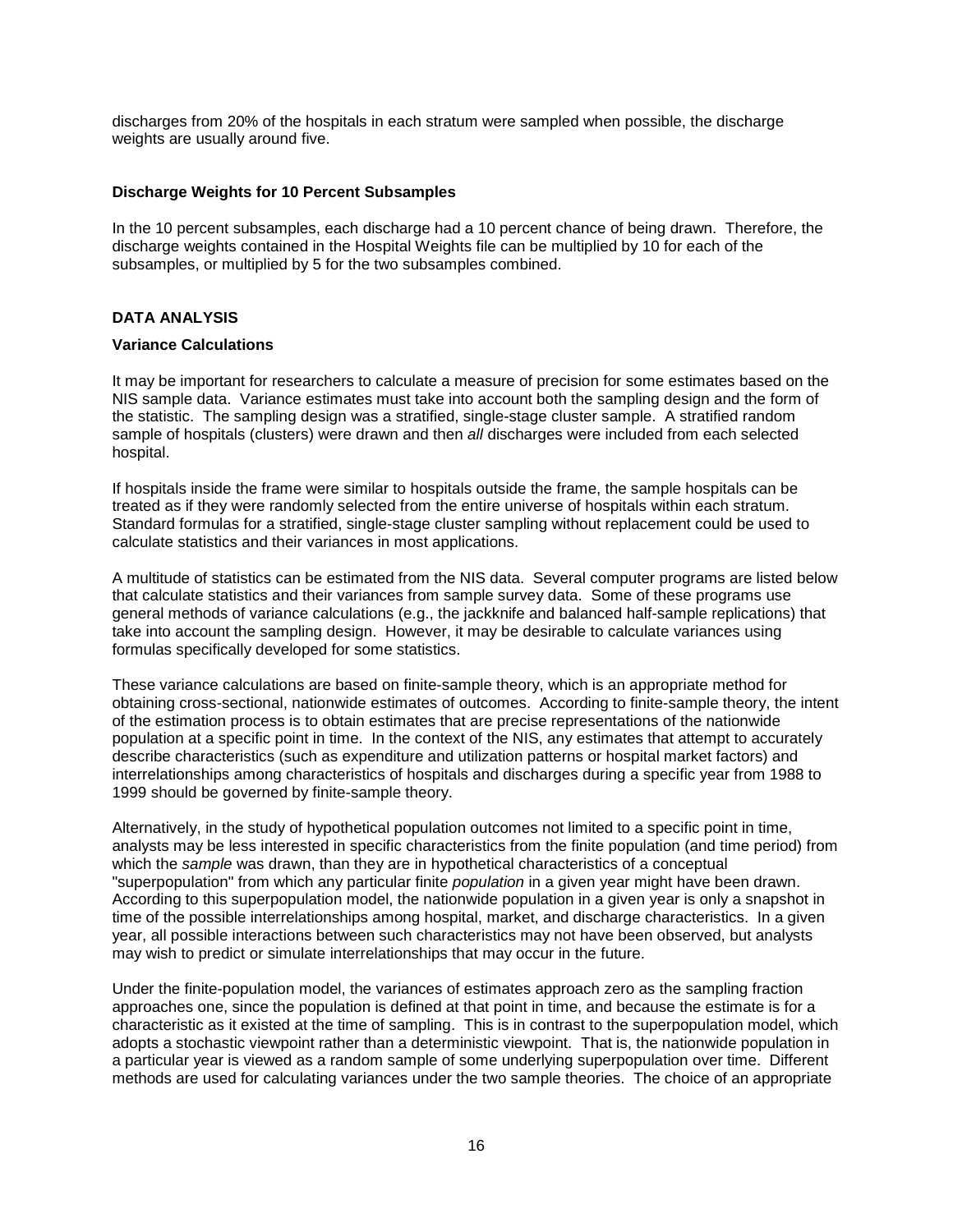discharges from 20% of the hospitals in each stratum were sampled when possible, the discharge weights are usually around five.

#### **Discharge Weights for 10 Percent Subsamples**

In the 10 percent subsamples, each discharge had a 10 percent chance of being drawn. Therefore, the discharge weights contained in the Hospital Weights file can be multiplied by 10 for each of the subsamples, or multiplied by 5 for the two subsamples combined.

## **DATA ANALYSIS**

#### **Variance Calculations**

It may be important for researchers to calculate a measure of precision for some estimates based on the NIS sample data. Variance estimates must take into account both the sampling design and the form of the statistic. The sampling design was a stratified, single-stage cluster sample. A stratified random sample of hospitals (clusters) were drawn and then all discharges were included from each selected hospital.

If hospitals inside the frame were similar to hospitals outside the frame, the sample hospitals can be treated as if they were randomly selected from the entire universe of hospitals within each stratum. Standard formulas for a stratified, single-stage cluster sampling without replacement could be used to calculate statistics and their variances in most applications.

A multitude of statistics can be estimated from the NIS data. Several computer programs are listed below that calculate statistics and their variances from sample survey data. Some of these programs use general methods of variance calculations (e.g., the jackknife and balanced half-sample replications) that take into account the sampling design. However, it may be desirable to calculate variances using formulas specifically developed for some statistics.

These variance calculations are based on finite-sample theory, which is an appropriate method for obtaining cross-sectional, nationwide estimates of outcomes. According to finite-sample theory, the intent of the estimation process is to obtain estimates that are precise representations of the nationwide population at a specific point in time. In the context of the NIS, any estimates that attempt to accurately describe characteristics (such as expenditure and utilization patterns or hospital market factors) and interrelationships among characteristics of hospitals and discharges during a specific year from 1988 to 1999 should be governed by finite-sample theory.

Alternatively, in the study of hypothetical population outcomes not limited to a specific point in time, analysts may be less interested in specific characteristics from the finite population (and time period) from which the sample was drawn, than they are in hypothetical characteristics of a conceptual "superpopulation" from which any particular finite *population* in a given year might have been drawn. According to this superpopulation model, the nationwide population in a given year is only a snapshot in time of the possible interrelationships among hospital, market, and discharge characteristics. In a given year, all possible interactions between such characteristics may not have been observed, but analysts may wish to predict or simulate interrelationships that may occur in the future.

Under the finite-population model, the variances of estimates approach zero as the sampling fraction approaches one, since the population is defined at that point in time, and because the estimate is for a characteristic as it existed at the time of sampling. This is in contrast to the superpopulation model, which adopts a stochastic viewpoint rather than a deterministic viewpoint. That is, the nationwide population in a particular year is viewed as a random sample of some underlying superpopulation over time. Different methods are used for calculating variances under the two sample theories. The choice of an appropriate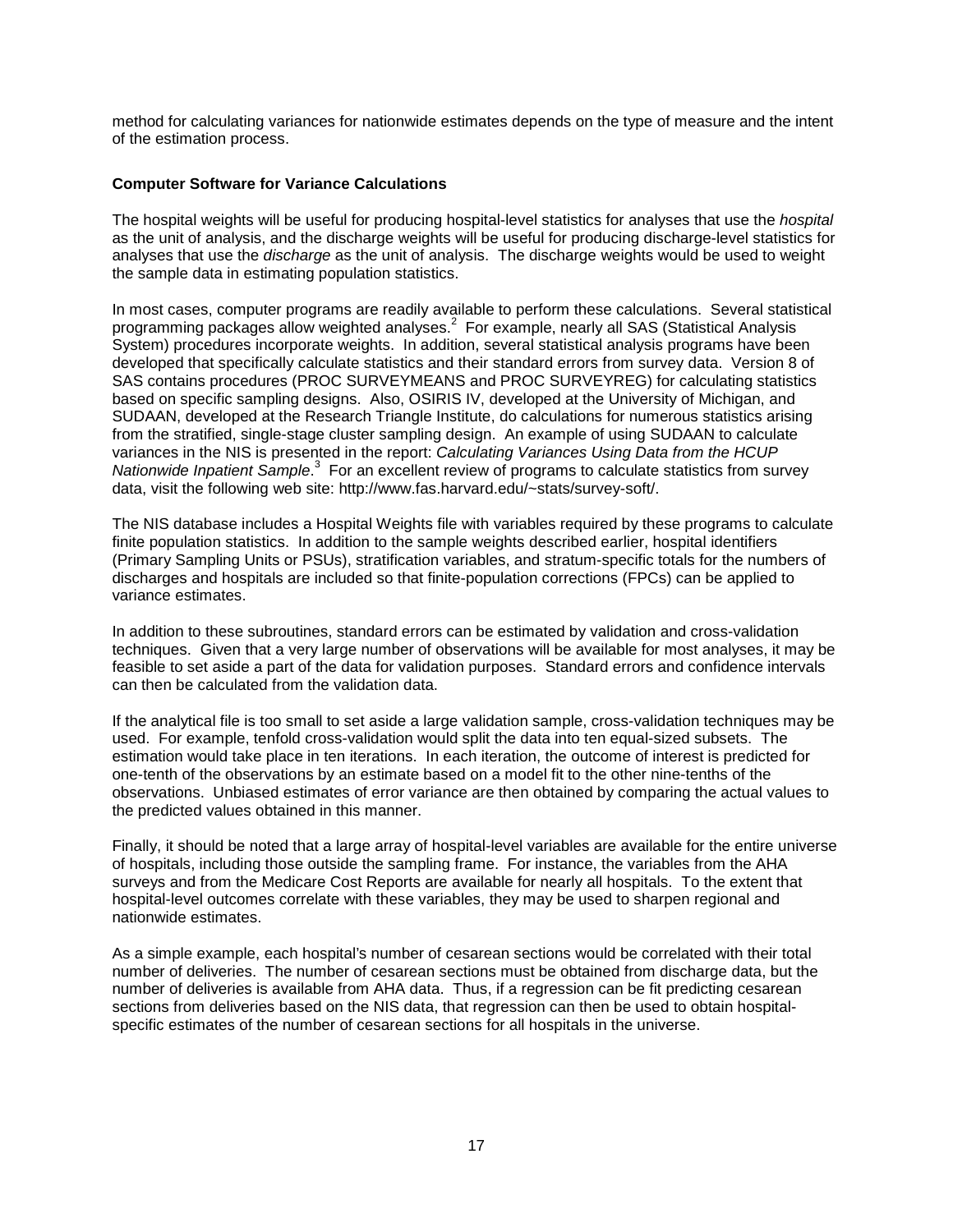method for calculating variances for nationwide estimates depends on the type of measure and the intent of the estimation process.

#### **Computer Software for Variance Calculations**

The hospital weights will be useful for producing hospital-level statistics for analyses that use the hospital as the unit of analysis, and the discharge weights will be useful for producing discharge-level statistics for analyses that use the discharge as the unit of analysis. The discharge weights would be used to weight the sample data in estimating population statistics.

In most cases, computer programs are readily available to perform these calculations. Several statistical programming packages allow weighted analyses.<sup>2</sup> For example, nearly all SAS (Statistical Analysis System) procedures incorporate weights. In addition, several statistical analysis programs have been developed that specifically calculate statistics and their standard errors from survey data. Version 8 of SAS contains procedures (PROC SURVEYMEANS and PROC SURVEYREG) for calculating statistics based on specific sampling designs. Also, OSIRIS IV, developed at the University of Michigan, and SUDAAN, developed at the Research Triangle Institute, do calculations for numerous statistics arising from the stratified, single-stage cluster sampling design. An example of using SUDAAN to calculate variances in the NIS is presented in the report: Calculating Variances Using Data from the HCUP Nationwide Inpatient Sample.<sup>3</sup> For an excellent review of programs to calculate statistics from survey data, visit the following web site: http://www.fas.harvard.edu/~stats/survey-soft/.

The NIS database includes a Hospital Weights file with variables required by these programs to calculate finite population statistics. In addition to the sample weights described earlier, hospital identifiers (Primary Sampling Units or PSUs), stratification variables, and stratum-specific totals for the numbers of discharges and hospitals are included so that finite-population corrections (FPCs) can be applied to variance estimates.

In addition to these subroutines, standard errors can be estimated by validation and cross-validation techniques. Given that a very large number of observations will be available for most analyses, it may be feasible to set aside a part of the data for validation purposes. Standard errors and confidence intervals can then be calculated from the validation data.

If the analytical file is too small to set aside a large validation sample, cross-validation techniques may be used. For example, tenfold cross-validation would split the data into ten equal-sized subsets. The estimation would take place in ten iterations. In each iteration, the outcome of interest is predicted for one-tenth of the observations by an estimate based on a model fit to the other nine-tenths of the observations. Unbiased estimates of error variance are then obtained by comparing the actual values to the predicted values obtained in this manner.

Finally, it should be noted that a large array of hospital-level variables are available for the entire universe of hospitals, including those outside the sampling frame. For instance, the variables from the AHA surveys and from the Medicare Cost Reports are available for nearly all hospitals. To the extent that hospital-level outcomes correlate with these variables, they may be used to sharpen regional and nationwide estimates.

As a simple example, each hospital's number of cesarean sections would be correlated with their total number of deliveries. The number of cesarean sections must be obtained from discharge data, but the number of deliveries is available from AHA data. Thus, if a regression can be fit predicting cesarean sections from deliveries based on the NIS data, that regression can then be used to obtain hospitalspecific estimates of the number of cesarean sections for all hospitals in the universe.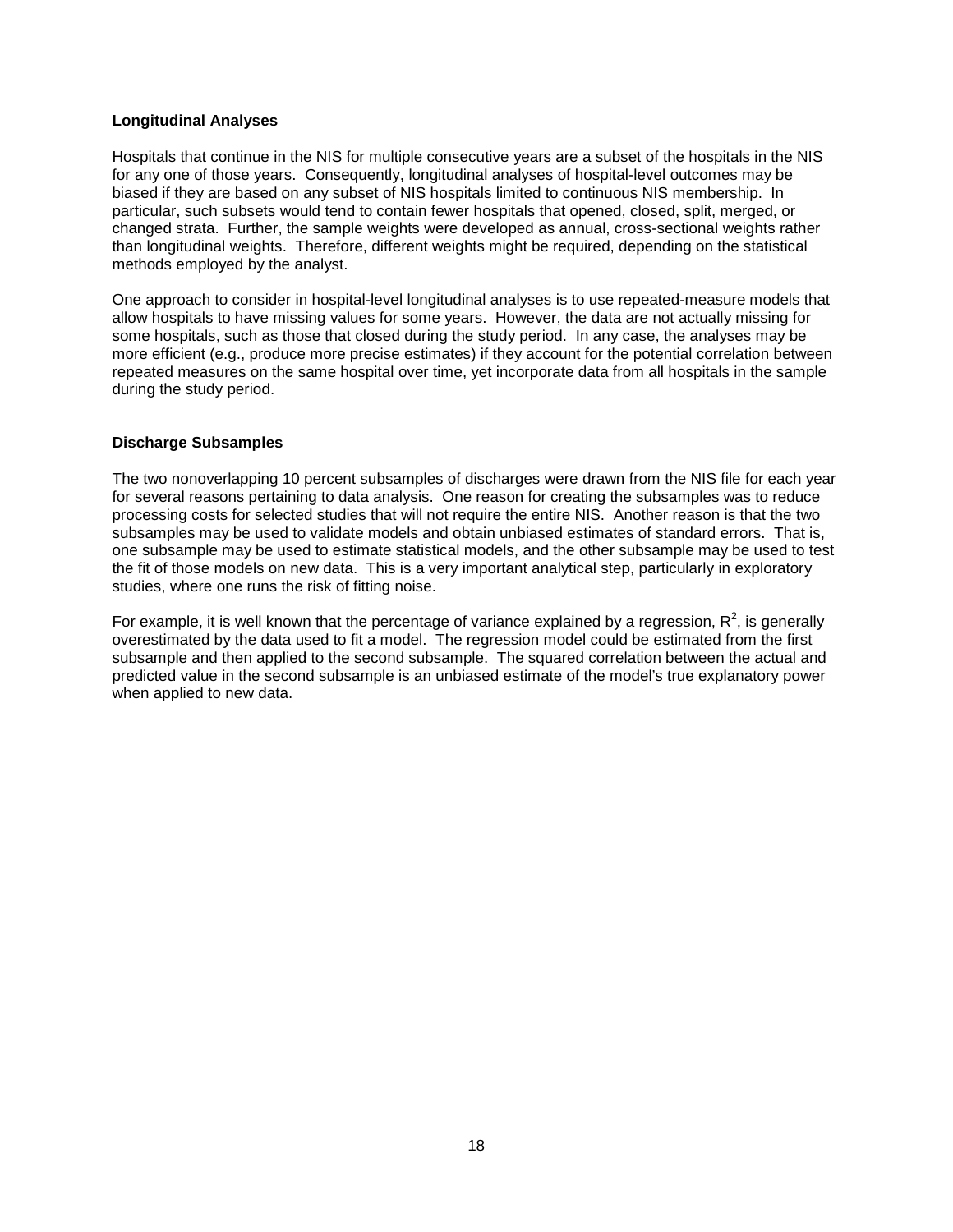#### **Longitudinal Analyses**

Hospitals that continue in the NIS for multiple consecutive years are a subset of the hospitals in the NIS for any one of those years. Consequently, longitudinal analyses of hospital-level outcomes may be biased if they are based on any subset of NIS hospitals limited to continuous NIS membership. In particular, such subsets would tend to contain fewer hospitals that opened, closed, split, merged, or changed strata. Further, the sample weights were developed as annual, cross-sectional weights rather than longitudinal weights. Therefore, different weights might be required, depending on the statistical methods employed by the analyst.

One approach to consider in hospital-level longitudinal analyses is to use repeated-measure models that allow hospitals to have missing values for some years. However, the data are not actually missing for some hospitals, such as those that closed during the study period. In any case, the analyses may be more efficient (e.g., produce more precise estimates) if they account for the potential correlation between repeated measures on the same hospital over time, yet incorporate data from all hospitals in the sample during the study period.

#### **Discharge Subsamples**

The two nonoverlapping 10 percent subsamples of discharges were drawn from the NIS file for each year for several reasons pertaining to data analysis. One reason for creating the subsamples was to reduce processing costs for selected studies that will not require the entire NIS. Another reason is that the two subsamples may be used to validate models and obtain unbiased estimates of standard errors. That is, one subsample may be used to estimate statistical models, and the other subsample may be used to test the fit of those models on new data. This is a very important analytical step, particularly in exploratory studies, where one runs the risk of fitting noise.

For example, it is well known that the percentage of variance explained by a regression,  $R^2$ , is generally overestimated by the data used to fit a model. The regression model could be estimated from the first subsample and then applied to the second subsample. The squared correlation between the actual and predicted value in the second subsample is an unbiased estimate of the model's true explanatory power when applied to new data.